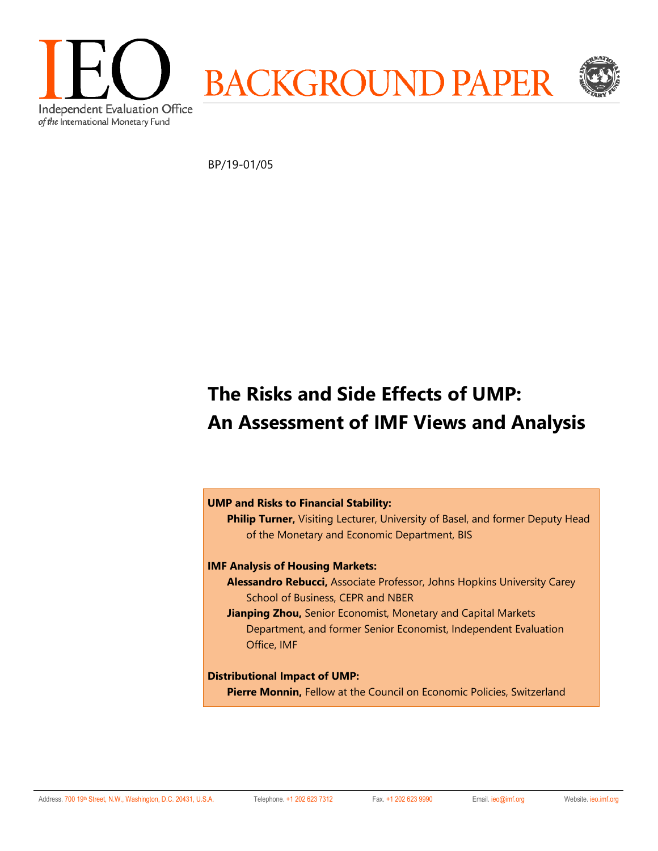

BP/19-01/05

# **The Risks and Side Effects of UMP: An Assessment of IMF Views and Analysis**

### **UMP and Risks to Financial Stability:**

**Philip Turner,** Visiting Lecturer, University of Basel, and former Deputy Head of the Monetary and Economic Department, BIS

### **IMF Analysis of Housing Markets:**

- **Alessandro Rebucci,** Associate Professor, Johns Hopkins University Carey School of Business, CEPR and NBER
- **Jianping Zhou,** Senior Economist, Monetary and Capital Markets Department, and former Senior Economist, Independent Evaluation Office, IMF

### **Distributional Impact of UMP:**

**Pierre Monnin,** Fellow at the Council on Economic Policies, Switzerland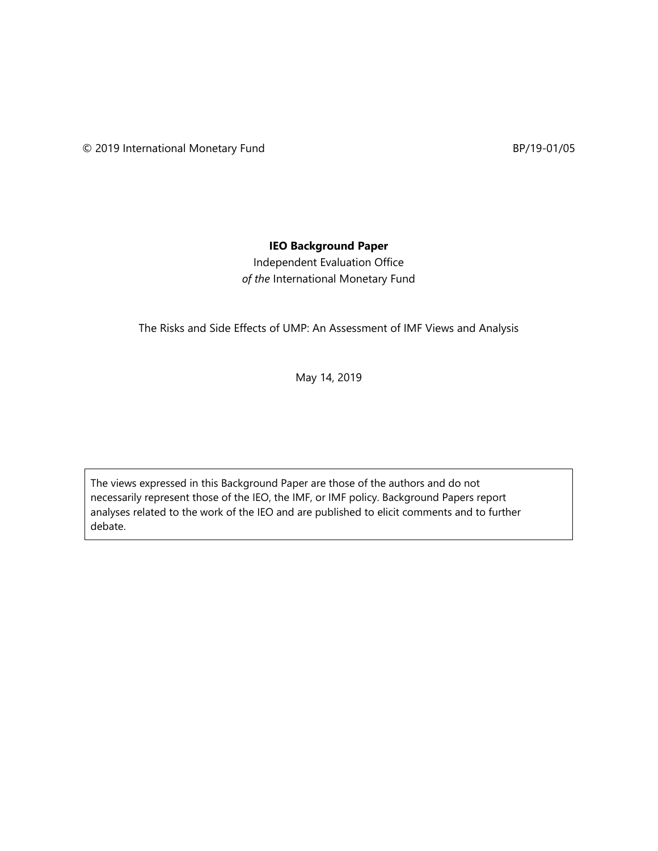## **IEO Background Paper**

Independent Evaluation Office *of the* International Monetary Fund

The Risks and Side Effects of UMP: An Assessment of IMF Views and Analysis

May 14, 2019

The views expressed in this Background Paper are those of the authors and do not necessarily represent those of the IEO, the IMF, or IMF policy. Background Papers report analyses related to the work of the IEO and are published to elicit comments and to further debate.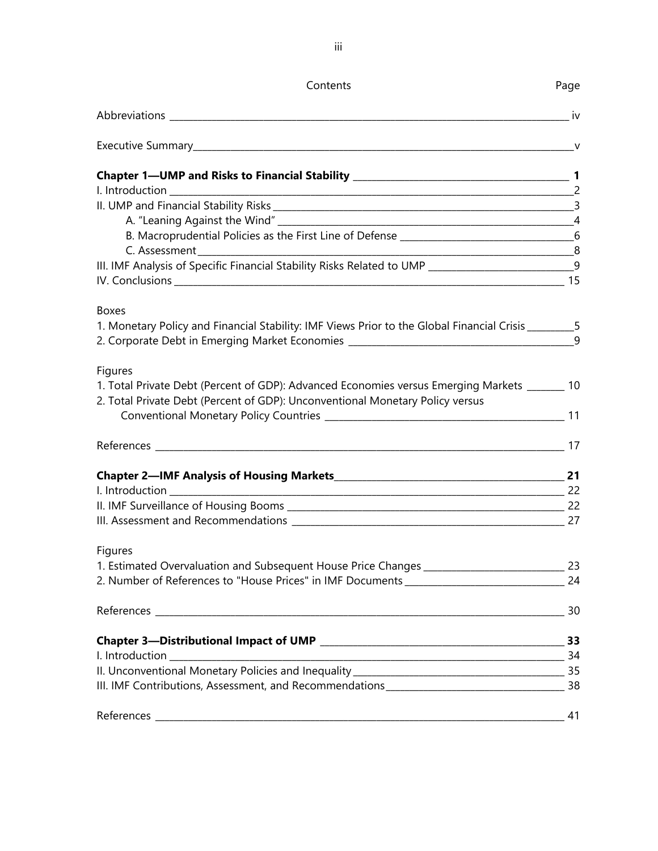| Contents                                                                                               | Page |
|--------------------------------------------------------------------------------------------------------|------|
|                                                                                                        |      |
|                                                                                                        |      |
|                                                                                                        |      |
|                                                                                                        |      |
|                                                                                                        |      |
|                                                                                                        |      |
|                                                                                                        |      |
| III. IMF Analysis of Specific Financial Stability Risks Related to UMP ____________________________9   |      |
|                                                                                                        |      |
| <b>Boxes</b>                                                                                           |      |
| 1. Monetary Policy and Financial Stability: IMF Views Prior to the Global Financial Crisis __________5 |      |
| 2. Corporate Debt in Emerging Market Economies _________________________________                       | 9    |
| Figures                                                                                                |      |
| 1. Total Private Debt (Percent of GDP): Advanced Economies versus Emerging Markets _______ 10          |      |
| 2. Total Private Debt (Percent of GDP): Unconventional Monetary Policy versus                          |      |
|                                                                                                        |      |
|                                                                                                        |      |
|                                                                                                        |      |
|                                                                                                        |      |
|                                                                                                        |      |
| Figures                                                                                                |      |
| 1. Estimated Overvaluation and Subsequent House Price Changes _________________________________23      |      |
| 2. Number of References to "House Prices" in IMF Documents ___________________________________24       |      |
|                                                                                                        |      |
|                                                                                                        |      |
|                                                                                                        |      |
|                                                                                                        |      |
|                                                                                                        |      |
|                                                                                                        | 41   |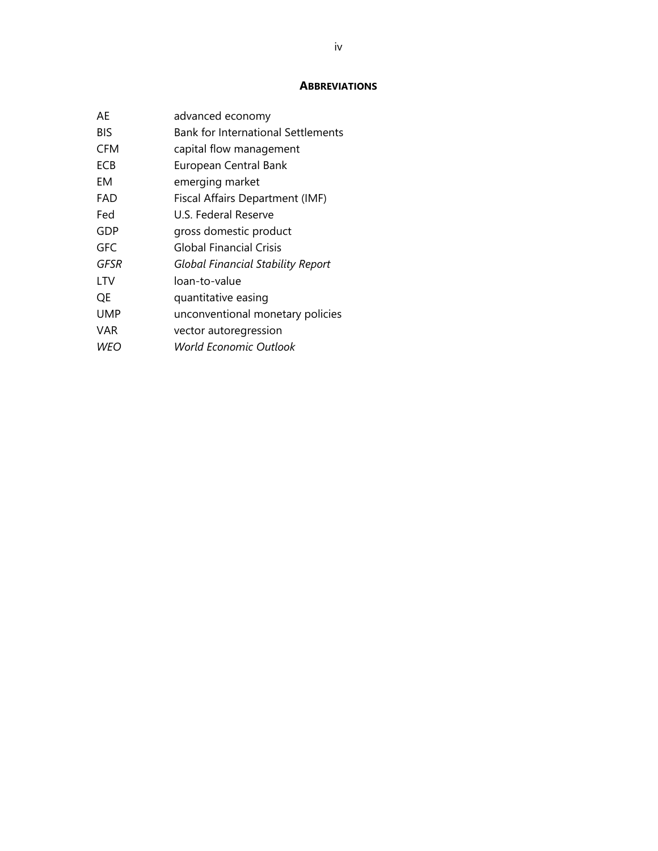### **ABBREVIATIONS**

| AF         | advanced economy                          |
|------------|-------------------------------------------|
| BIS        | <b>Bank for International Settlements</b> |
| CFM        | capital flow management                   |
| ECB        | European Central Bank                     |
| EМ         | emerging market                           |
| FAD        | Fiscal Affairs Department (IMF)           |
| Fed        | U.S. Federal Reserve                      |
| GDP        | gross domestic product                    |
| GFC        | <b>Global Financial Crisis</b>            |
| GFSR       | <b>Global Financial Stability Report</b>  |
| LTV        | loan-to-value                             |
| QE         | quantitative easing                       |
| <b>UMP</b> | unconventional monetary policies          |
| VAR        | vector autoregression                     |
| WEO        | <b>World Economic Outlook</b>             |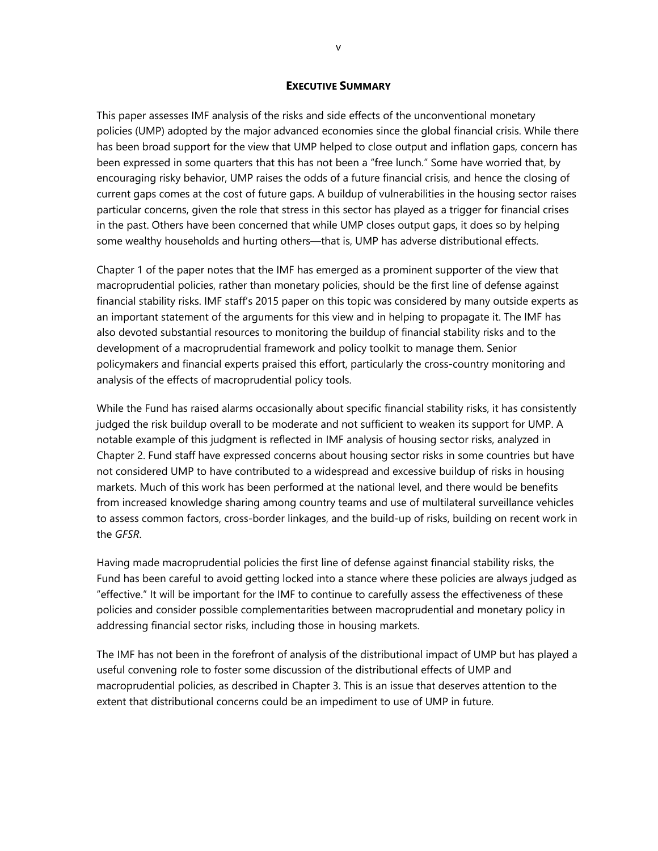#### **EXECUTIVE SUMMARY**

This paper assesses IMF analysis of the risks and side effects of the unconventional monetary policies (UMP) adopted by the major advanced economies since the global financial crisis. While there has been broad support for the view that UMP helped to close output and inflation gaps, concern has been expressed in some quarters that this has not been a "free lunch." Some have worried that, by encouraging risky behavior, UMP raises the odds of a future financial crisis, and hence the closing of current gaps comes at the cost of future gaps. A buildup of vulnerabilities in the housing sector raises particular concerns, given the role that stress in this sector has played as a trigger for financial crises in the past. Others have been concerned that while UMP closes output gaps, it does so by helping some wealthy households and hurting others—that is, UMP has adverse distributional effects.

Chapter 1 of the paper notes that the IMF has emerged as a prominent supporter of the view that macroprudential policies, rather than monetary policies, should be the first line of defense against financial stability risks. IMF staff's 2015 paper on this topic was considered by many outside experts as an important statement of the arguments for this view and in helping to propagate it. The IMF has also devoted substantial resources to monitoring the buildup of financial stability risks and to the development of a macroprudential framework and policy toolkit to manage them. Senior policymakers and financial experts praised this effort, particularly the cross-country monitoring and analysis of the effects of macroprudential policy tools.

While the Fund has raised alarms occasionally about specific financial stability risks, it has consistently judged the risk buildup overall to be moderate and not sufficient to weaken its support for UMP. A notable example of this judgment is reflected in IMF analysis of housing sector risks, analyzed in Chapter 2. Fund staff have expressed concerns about housing sector risks in some countries but have not considered UMP to have contributed to a widespread and excessive buildup of risks in housing markets. Much of this work has been performed at the national level, and there would be benefits from increased knowledge sharing among country teams and use of multilateral surveillance vehicles to assess common factors, cross-border linkages, and the build-up of risks, building on recent work in the *GFSR*.

Having made macroprudential policies the first line of defense against financial stability risks, the Fund has been careful to avoid getting locked into a stance where these policies are always judged as "effective." It will be important for the IMF to continue to carefully assess the effectiveness of these policies and consider possible complementarities between macroprudential and monetary policy in addressing financial sector risks, including those in housing markets.

The IMF has not been in the forefront of analysis of the distributional impact of UMP but has played a useful convening role to foster some discussion of the distributional effects of UMP and macroprudential policies, as described in Chapter 3. This is an issue that deserves attention to the extent that distributional concerns could be an impediment to use of UMP in future.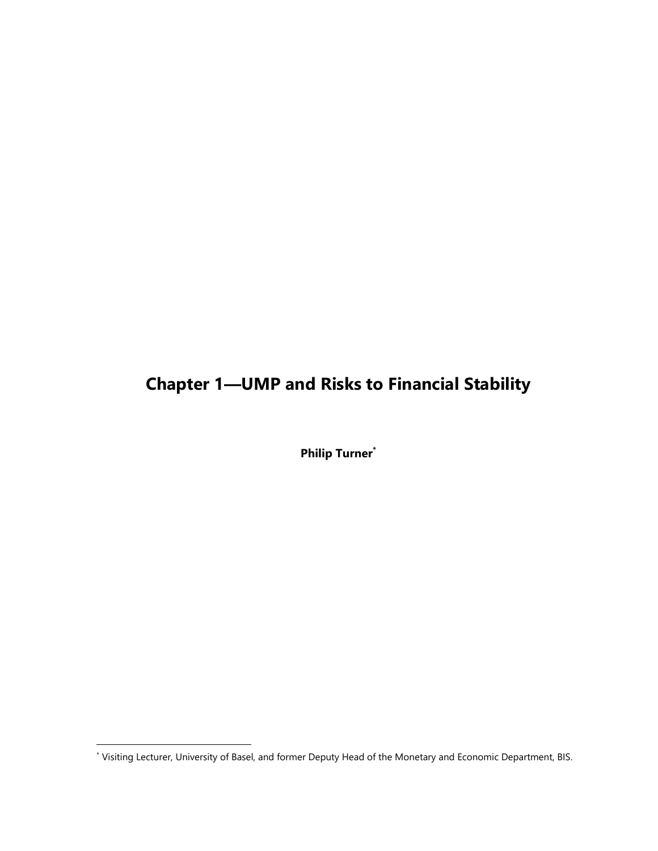## **Chapter 1—UMP and Risks to Financial Stability**

**Philip Turner\***

<sup>\*</sup> Visiting Lecturer, University of Basel, and former Deputy Head of the Monetary and Economic Department, BIS.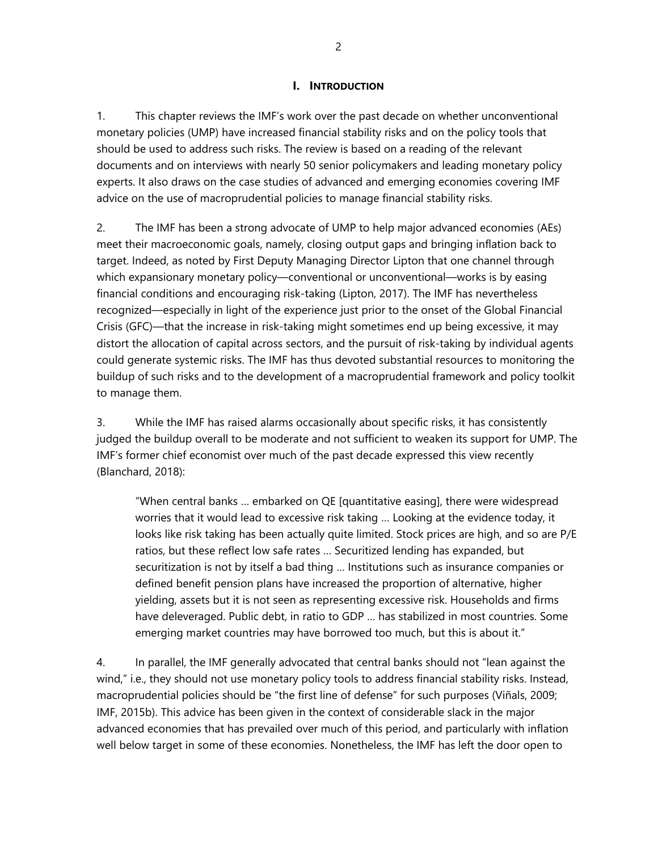### **I. INTRODUCTION**

1. This chapter reviews the IMF's work over the past decade on whether unconventional monetary policies (UMP) have increased financial stability risks and on the policy tools that should be used to address such risks. The review is based on a reading of the relevant documents and on interviews with nearly 50 senior policymakers and leading monetary policy experts. It also draws on the case studies of advanced and emerging economies covering IMF advice on the use of macroprudential policies to manage financial stability risks.

2. The IMF has been a strong advocate of UMP to help major advanced economies (AEs) meet their macroeconomic goals, namely, closing output gaps and bringing inflation back to target. Indeed, as noted by First Deputy Managing Director Lipton that one channel through which expansionary monetary policy—conventional or unconventional—works is by easing financial conditions and encouraging risk-taking (Lipton, 2017). The IMF has nevertheless recognized—especially in light of the experience just prior to the onset of the Global Financial Crisis (GFC)—that the increase in risk-taking might sometimes end up being excessive, it may distort the allocation of capital across sectors, and the pursuit of risk-taking by individual agents could generate systemic risks. The IMF has thus devoted substantial resources to monitoring the buildup of such risks and to the development of a macroprudential framework and policy toolkit to manage them.

3. While the IMF has raised alarms occasionally about specific risks, it has consistently judged the buildup overall to be moderate and not sufficient to weaken its support for UMP. The IMF's former chief economist over much of the past decade expressed this view recently (Blanchard, 2018):

"When central banks … embarked on QE [quantitative easing], there were widespread worries that it would lead to excessive risk taking … Looking at the evidence today, it looks like risk taking has been actually quite limited. Stock prices are high, and so are P/E ratios, but these reflect low safe rates … Securitized lending has expanded, but securitization is not by itself a bad thing … Institutions such as insurance companies or defined benefit pension plans have increased the proportion of alternative, higher yielding, assets but it is not seen as representing excessive risk. Households and firms have deleveraged. Public debt, in ratio to GDP … has stabilized in most countries. Some emerging market countries may have borrowed too much, but this is about it."

4. In parallel, the IMF generally advocated that central banks should not "lean against the wind," i.e., they should not use monetary policy tools to address financial stability risks. Instead, macroprudential policies should be "the first line of defense" for such purposes (Viñals, 2009; IMF, 2015b). This advice has been given in the context of considerable slack in the major advanced economies that has prevailed over much of this period, and particularly with inflation well below target in some of these economies. Nonetheless, the IMF has left the door open to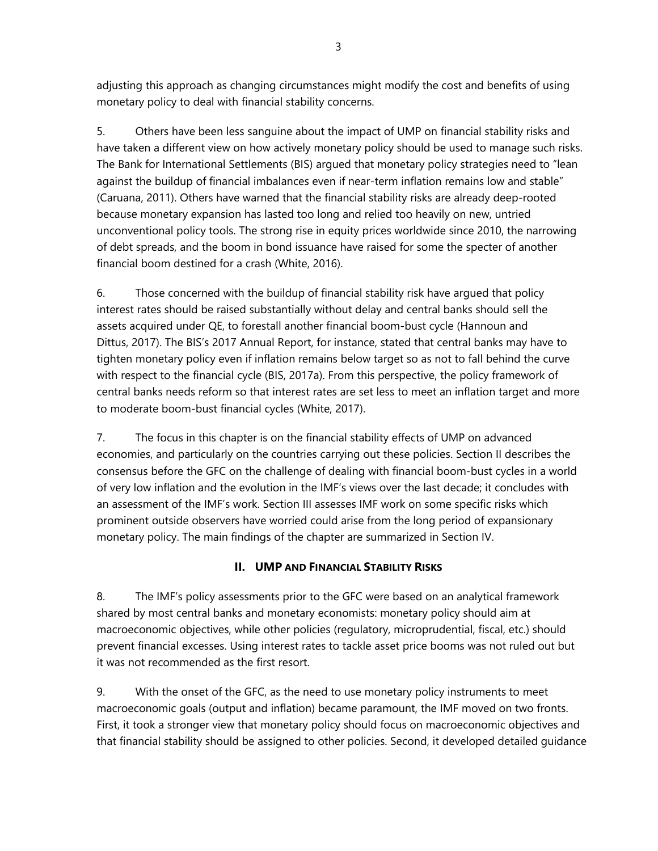adjusting this approach as changing circumstances might modify the cost and benefits of using monetary policy to deal with financial stability concerns.

5. Others have been less sanguine about the impact of UMP on financial stability risks and have taken a different view on how actively monetary policy should be used to manage such risks. The Bank for International Settlements (BIS) argued that monetary policy strategies need to "lean against the buildup of financial imbalances even if near-term inflation remains low and stable" (Caruana, 2011). Others have warned that the financial stability risks are already deep-rooted because monetary expansion has lasted too long and relied too heavily on new, untried unconventional policy tools. The strong rise in equity prices worldwide since 2010, the narrowing of debt spreads, and the boom in bond issuance have raised for some the specter of another financial boom destined for a crash (White, 2016).

6. Those concerned with the buildup of financial stability risk have argued that policy interest rates should be raised substantially without delay and central banks should sell the assets acquired under QE, to forestall another financial boom-bust cycle (Hannoun and Dittus, 2017). The BIS's 2017 Annual Report, for instance, stated that central banks may have to tighten monetary policy even if inflation remains below target so as not to fall behind the curve with respect to the financial cycle (BIS, 2017a). From this perspective, the policy framework of central banks needs reform so that interest rates are set less to meet an inflation target and more to moderate boom-bust financial cycles (White, 2017).

7. The focus in this chapter is on the financial stability effects of UMP on advanced economies, and particularly on the countries carrying out these policies. Section II describes the consensus before the GFC on the challenge of dealing with financial boom-bust cycles in a world of very low inflation and the evolution in the IMF's views over the last decade; it concludes with an assessment of the IMF's work. Section III assesses IMF work on some specific risks which prominent outside observers have worried could arise from the long period of expansionary monetary policy. The main findings of the chapter are summarized in Section IV.

## **II. UMP AND FINANCIAL STABILITY RISKS**

8. The IMF's policy assessments prior to the GFC were based on an analytical framework shared by most central banks and monetary economists: monetary policy should aim at macroeconomic objectives, while other policies (regulatory, microprudential, fiscal, etc.) should prevent financial excesses. Using interest rates to tackle asset price booms was not ruled out but it was not recommended as the first resort.

9. With the onset of the GFC, as the need to use monetary policy instruments to meet macroeconomic goals (output and inflation) became paramount, the IMF moved on two fronts. First, it took a stronger view that monetary policy should focus on macroeconomic objectives and that financial stability should be assigned to other policies. Second, it developed detailed guidance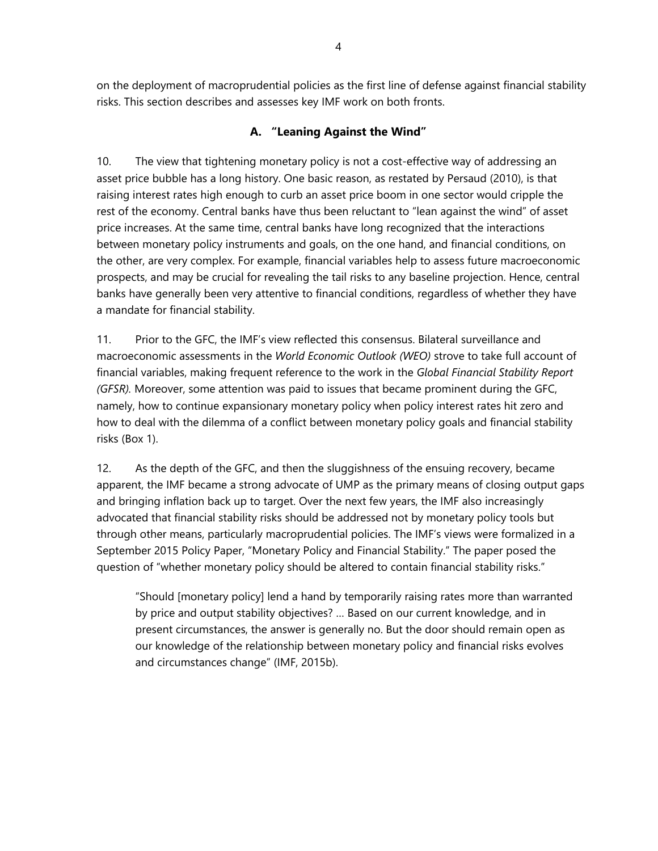on the deployment of macroprudential policies as the first line of defense against financial stability risks. This section describes and assesses key IMF work on both fronts.

## **A. "Leaning Against the Wind"**

10. The view that tightening monetary policy is not a cost-effective way of addressing an asset price bubble has a long history. One basic reason, as restated by Persaud (2010), is that raising interest rates high enough to curb an asset price boom in one sector would cripple the rest of the economy. Central banks have thus been reluctant to "lean against the wind" of asset price increases. At the same time, central banks have long recognized that the interactions between monetary policy instruments and goals, on the one hand, and financial conditions, on the other, are very complex. For example, financial variables help to assess future macroeconomic prospects, and may be crucial for revealing the tail risks to any baseline projection. Hence, central banks have generally been very attentive to financial conditions, regardless of whether they have a mandate for financial stability.

11. Prior to the GFC, the IMF's view reflected this consensus. Bilateral surveillance and macroeconomic assessments in the *World Economic Outlook (WEO)* strove to take full account of financial variables, making frequent reference to the work in the *Global Financial Stability Report (GFSR).* Moreover, some attention was paid to issues that became prominent during the GFC, namely, how to continue expansionary monetary policy when policy interest rates hit zero and how to deal with the dilemma of a conflict between monetary policy goals and financial stability risks (Box 1).

12. As the depth of the GFC, and then the sluggishness of the ensuing recovery, became apparent, the IMF became a strong advocate of UMP as the primary means of closing output gaps and bringing inflation back up to target. Over the next few years, the IMF also increasingly advocated that financial stability risks should be addressed not by monetary policy tools but through other means, particularly macroprudential policies. The IMF's views were formalized in a September 2015 Policy Paper, "Monetary Policy and Financial Stability." The paper posed the question of "whether monetary policy should be altered to contain financial stability risks."

"Should [monetary policy] lend a hand by temporarily raising rates more than warranted by price and output stability objectives? … Based on our current knowledge, and in present circumstances, the answer is generally no. But the door should remain open as our knowledge of the relationship between monetary policy and financial risks evolves and circumstances change" (IMF, 2015b).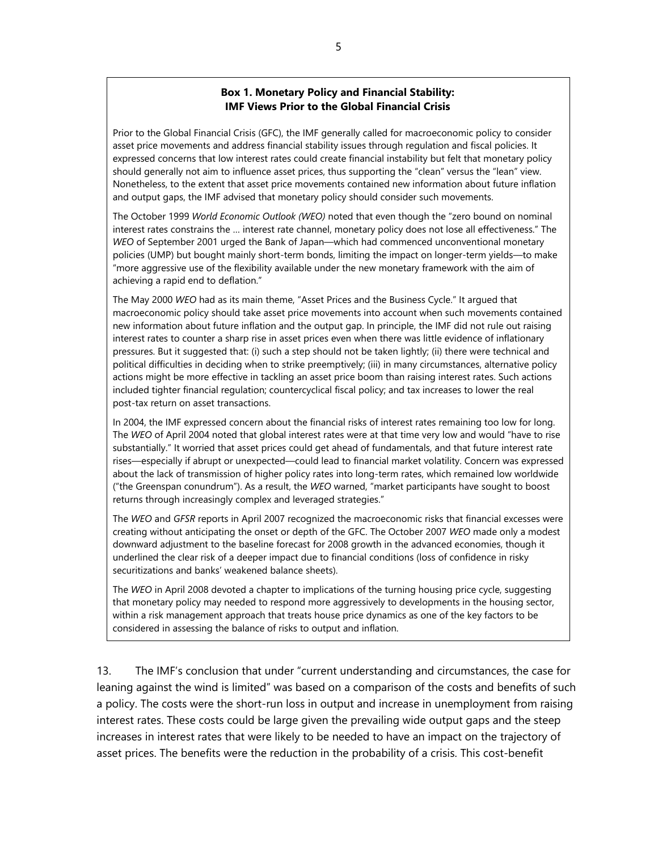### **Box 1. Monetary Policy and Financial Stability: IMF Views Prior to the Global Financial Crisis**

Prior to the Global Financial Crisis (GFC), the IMF generally called for macroeconomic policy to consider asset price movements and address financial stability issues through regulation and fiscal policies. It expressed concerns that low interest rates could create financial instability but felt that monetary policy should generally not aim to influence asset prices, thus supporting the "clean" versus the "lean" view. Nonetheless, to the extent that asset price movements contained new information about future inflation and output gaps, the IMF advised that monetary policy should consider such movements.

The October 1999 *World Economic Outlook (WEO)* noted that even though the "zero bound on nominal interest rates constrains the … interest rate channel, monetary policy does not lose all effectiveness." The *WEO* of September 2001 urged the Bank of Japan—which had commenced unconventional monetary policies (UMP) but bought mainly short-term bonds, limiting the impact on longer-term yields—to make "more aggressive use of the flexibility available under the new monetary framework with the aim of achieving a rapid end to deflation."

The May 2000 *WEO* had as its main theme, "Asset Prices and the Business Cycle." It argued that macroeconomic policy should take asset price movements into account when such movements contained new information about future inflation and the output gap. In principle, the IMF did not rule out raising interest rates to counter a sharp rise in asset prices even when there was little evidence of inflationary pressures. But it suggested that: (i) such a step should not be taken lightly; (ii) there were technical and political difficulties in deciding when to strike preemptively; (iii) in many circumstances, alternative policy actions might be more effective in tackling an asset price boom than raising interest rates. Such actions included tighter financial regulation; countercyclical fiscal policy; and tax increases to lower the real post-tax return on asset transactions.

In 2004, the IMF expressed concern about the financial risks of interest rates remaining too low for long. The *WEO* of April 2004 noted that global interest rates were at that time very low and would "have to rise substantially." It worried that asset prices could get ahead of fundamentals, and that future interest rate rises—especially if abrupt or unexpected—could lead to financial market volatility. Concern was expressed about the lack of transmission of higher policy rates into long-term rates, which remained low worldwide ("the Greenspan conundrum"). As a result, the *WEO* warned, "market participants have sought to boost returns through increasingly complex and leveraged strategies."

The *WEO* and *GFSR* reports in April 2007 recognized the macroeconomic risks that financial excesses were creating without anticipating the onset or depth of the GFC. The October 2007 *WEO* made only a modest downward adjustment to the baseline forecast for 2008 growth in the advanced economies, though it underlined the clear risk of a deeper impact due to financial conditions (loss of confidence in risky securitizations and banks' weakened balance sheets).

The *WEO* in April 2008 devoted a chapter to implications of the turning housing price cycle, suggesting that monetary policy may needed to respond more aggressively to developments in the housing sector, within a risk management approach that treats house price dynamics as one of the key factors to be considered in assessing the balance of risks to output and inflation.

13. The IMF's conclusion that under "current understanding and circumstances, the case for leaning against the wind is limited" was based on a comparison of the costs and benefits of such a policy. The costs were the short-run loss in output and increase in unemployment from raising interest rates. These costs could be large given the prevailing wide output gaps and the steep increases in interest rates that were likely to be needed to have an impact on the trajectory of asset prices. The benefits were the reduction in the probability of a crisis. This cost-benefit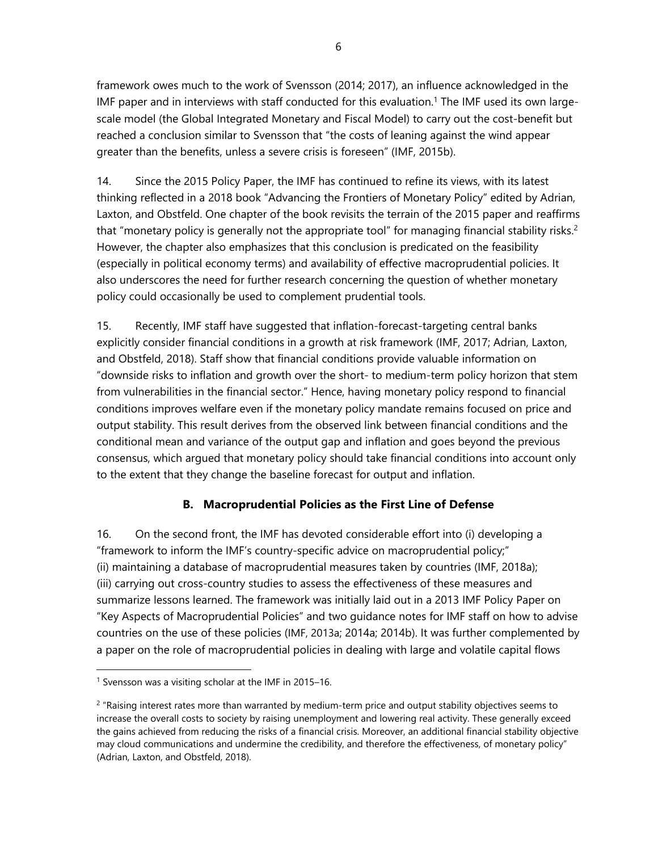framework owes much to the work of Svensson (2014; 2017), an influence acknowledged in the IMF paper and in interviews with staff conducted for this evaluation.<sup>1</sup> The IMF used its own largescale model (the Global Integrated Monetary and Fiscal Model) to carry out the cost-benefit but reached a conclusion similar to Svensson that "the costs of leaning against the wind appear greater than the benefits, unless a severe crisis is foreseen" (IMF, 2015b).

14. Since the 2015 Policy Paper, the IMF has continued to refine its views, with its latest thinking reflected in a 2018 book "Advancing the Frontiers of Monetary Policy" edited by Adrian, Laxton, and Obstfeld. One chapter of the book revisits the terrain of the 2015 paper and reaffirms that "monetary policy is generally not the appropriate tool" for managing financial stability risks.<sup>2</sup> However, the chapter also emphasizes that this conclusion is predicated on the feasibility (especially in political economy terms) and availability of effective macroprudential policies. It also underscores the need for further research concerning the question of whether monetary policy could occasionally be used to complement prudential tools.

15. Recently, IMF staff have suggested that inflation-forecast-targeting central banks explicitly consider financial conditions in a growth at risk framework (IMF, 2017; Adrian, Laxton, and Obstfeld, 2018). Staff show that financial conditions provide valuable information on "downside risks to inflation and growth over the short- to medium-term policy horizon that stem from vulnerabilities in the financial sector." Hence, having monetary policy respond to financial conditions improves welfare even if the monetary policy mandate remains focused on price and output stability. This result derives from the observed link between financial conditions and the conditional mean and variance of the output gap and inflation and goes beyond the previous consensus, which argued that monetary policy should take financial conditions into account only to the extent that they change the baseline forecast for output and inflation.

## **B. Macroprudential Policies as the First Line of Defense**

16. On the second front, the IMF has devoted considerable effort into (i) developing a "framework to inform the IMF's country-specific advice on macroprudential policy;" (ii) maintaining a database of macroprudential measures taken by countries (IMF, 2018a); (iii) carrying out cross-country studies to assess the effectiveness of these measures and summarize lessons learned. The framework was initially laid out in a 2013 IMF Policy Paper on "Key Aspects of Macroprudential Policies" and two guidance notes for IMF staff on how to advise countries on the use of these policies (IMF, 2013a; 2014a; 2014b). It was further complemented by a paper on the role of macroprudential policies in dealing with large and volatile capital flows

<sup>1</sup> Svensson was a visiting scholar at the IMF in 2015–16.

<sup>&</sup>lt;sup>2</sup> "Raising interest rates more than warranted by medium-term price and output stability objectives seems to increase the overall costs to society by raising unemployment and lowering real activity. These generally exceed the gains achieved from reducing the risks of a financial crisis. Moreover, an additional financial stability objective may cloud communications and undermine the credibility, and therefore the effectiveness, of monetary policy" (Adrian, Laxton, and Obstfeld, 2018).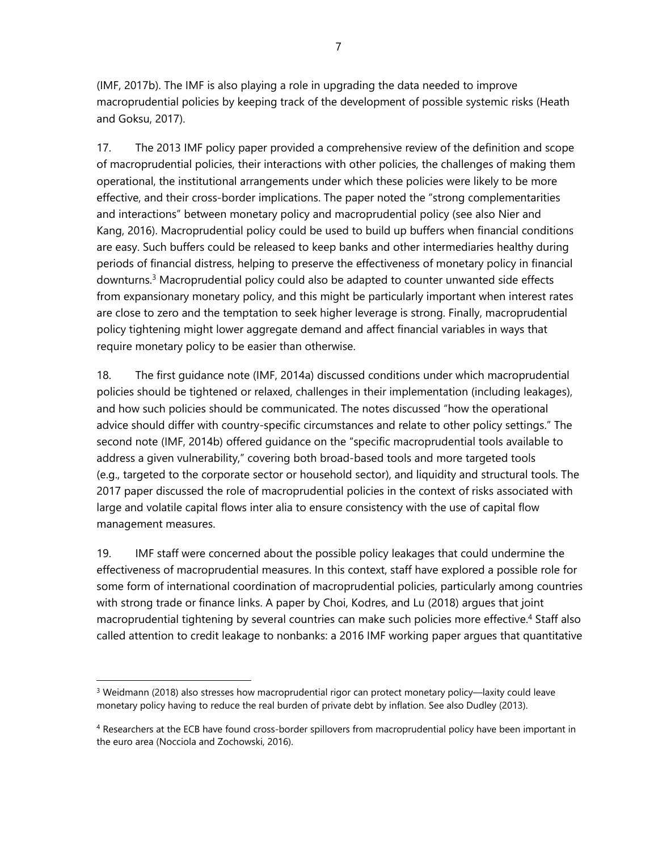(IMF, 2017b). The IMF is also playing a role in upgrading the data needed to improve macroprudential policies by keeping track of the development of possible systemic risks (Heath and Goksu, 2017).

17. The 2013 IMF policy paper provided a comprehensive review of the definition and scope of macroprudential policies, their interactions with other policies, the challenges of making them operational, the institutional arrangements under which these policies were likely to be more effective, and their cross-border implications. The paper noted the "strong complementarities and interactions" between monetary policy and macroprudential policy (see also Nier and Kang, 2016). Macroprudential policy could be used to build up buffers when financial conditions are easy. Such buffers could be released to keep banks and other intermediaries healthy during periods of financial distress, helping to preserve the effectiveness of monetary policy in financial downturns.3 Macroprudential policy could also be adapted to counter unwanted side effects from expansionary monetary policy, and this might be particularly important when interest rates are close to zero and the temptation to seek higher leverage is strong. Finally, macroprudential policy tightening might lower aggregate demand and affect financial variables in ways that require monetary policy to be easier than otherwise.

18. The first guidance note (IMF, 2014a) discussed conditions under which macroprudential policies should be tightened or relaxed, challenges in their implementation (including leakages), and how such policies should be communicated. The notes discussed "how the operational advice should differ with country-specific circumstances and relate to other policy settings." The second note (IMF, 2014b) offered guidance on the "specific macroprudential tools available to address a given vulnerability," covering both broad-based tools and more targeted tools (e.g., targeted to the corporate sector or household sector), and liquidity and structural tools. The 2017 paper discussed the role of macroprudential policies in the context of risks associated with large and volatile capital flows inter alia to ensure consistency with the use of capital flow management measures.

19. IMF staff were concerned about the possible policy leakages that could undermine the effectiveness of macroprudential measures. In this context, staff have explored a possible role for some form of international coordination of macroprudential policies, particularly among countries with strong trade or finance links. A paper by Choi, Kodres, and Lu (2018) argues that joint macroprudential tightening by several countries can make such policies more effective.<sup>4</sup> Staff also called attention to credit leakage to nonbanks: a 2016 IMF working paper argues that quantitative

<sup>&</sup>lt;sup>3</sup> Weidmann (2018) also stresses how macroprudential rigor can protect monetary policy—laxity could leave monetary policy having to reduce the real burden of private debt by inflation. See also Dudley (2013).

<sup>4</sup> Researchers at the ECB have found cross-border spillovers from macroprudential policy have been important in the euro area (Nocciola and Zochowski, 2016).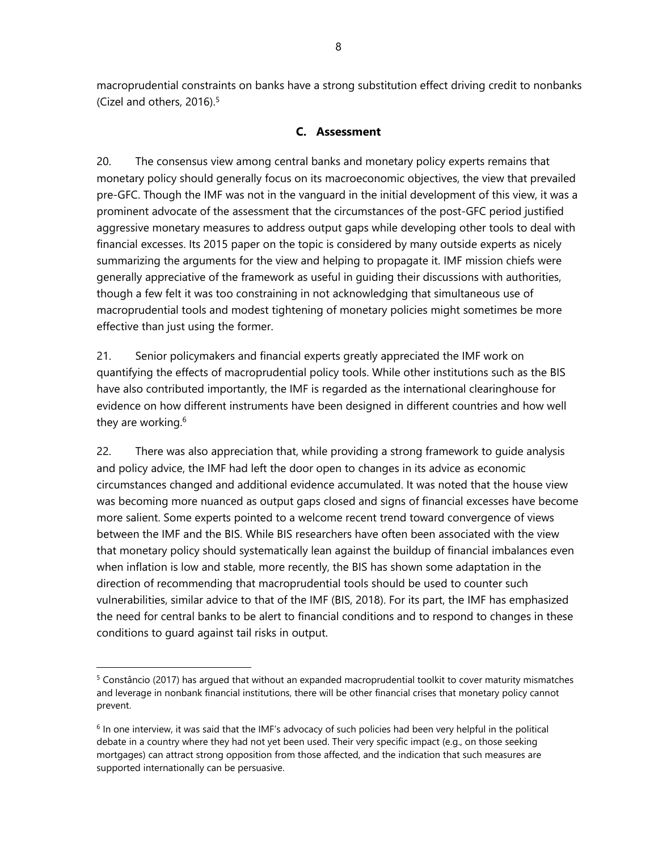macroprudential constraints on banks have a strong substitution effect driving credit to nonbanks (Cizel and others, 2016).<sup>5</sup>

## **C. Assessment**

20. The consensus view among central banks and monetary policy experts remains that monetary policy should generally focus on its macroeconomic objectives, the view that prevailed pre-GFC. Though the IMF was not in the vanguard in the initial development of this view, it was a prominent advocate of the assessment that the circumstances of the post-GFC period justified aggressive monetary measures to address output gaps while developing other tools to deal with financial excesses. Its 2015 paper on the topic is considered by many outside experts as nicely summarizing the arguments for the view and helping to propagate it. IMF mission chiefs were generally appreciative of the framework as useful in guiding their discussions with authorities, though a few felt it was too constraining in not acknowledging that simultaneous use of macroprudential tools and modest tightening of monetary policies might sometimes be more effective than just using the former.

21. Senior policymakers and financial experts greatly appreciated the IMF work on quantifying the effects of macroprudential policy tools. While other institutions such as the BIS have also contributed importantly, the IMF is regarded as the international clearinghouse for evidence on how different instruments have been designed in different countries and how well they are working.<sup>6</sup>

22. There was also appreciation that, while providing a strong framework to guide analysis and policy advice, the IMF had left the door open to changes in its advice as economic circumstances changed and additional evidence accumulated. It was noted that the house view was becoming more nuanced as output gaps closed and signs of financial excesses have become more salient. Some experts pointed to a welcome recent trend toward convergence of views between the IMF and the BIS. While BIS researchers have often been associated with the view that monetary policy should systematically lean against the buildup of financial imbalances even when inflation is low and stable, more recently, the BIS has shown some adaptation in the direction of recommending that macroprudential tools should be used to counter such vulnerabilities, similar advice to that of the IMF (BIS, 2018). For its part, the IMF has emphasized the need for central banks to be alert to financial conditions and to respond to changes in these conditions to guard against tail risks in output.

1

 $5$  Constâncio (2017) has argued that without an expanded macroprudential toolkit to cover maturity mismatches and leverage in nonbank financial institutions, there will be other financial crises that monetary policy cannot prevent.

 $6$  In one interview, it was said that the IMF's advocacy of such policies had been very helpful in the political debate in a country where they had not yet been used. Their very specific impact (e.g., on those seeking mortgages) can attract strong opposition from those affected, and the indication that such measures are supported internationally can be persuasive.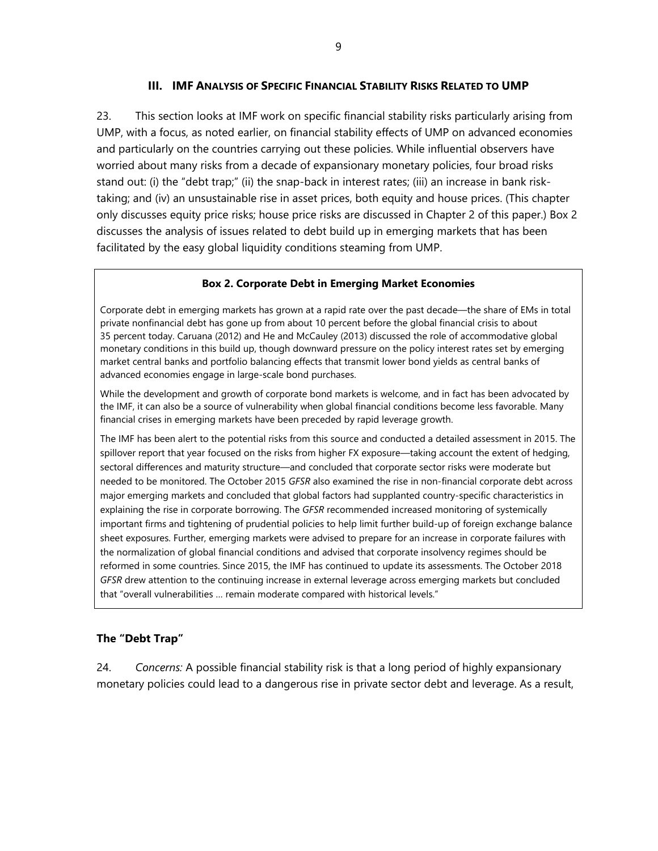### **III. IMF ANALYSIS OF SPECIFIC FINANCIAL STABILITY RISKS RELATED TO UMP**

23. This section looks at IMF work on specific financial stability risks particularly arising from UMP, with a focus, as noted earlier, on financial stability effects of UMP on advanced economies and particularly on the countries carrying out these policies. While influential observers have worried about many risks from a decade of expansionary monetary policies, four broad risks stand out: (i) the "debt trap;" (ii) the snap-back in interest rates; (iii) an increase in bank risktaking; and (iv) an unsustainable rise in asset prices, both equity and house prices. (This chapter only discusses equity price risks; house price risks are discussed in Chapter 2 of this paper.) Box 2 discusses the analysis of issues related to debt build up in emerging markets that has been facilitated by the easy global liquidity conditions steaming from UMP.

### **Box 2. Corporate Debt in Emerging Market Economies**

Corporate debt in emerging markets has grown at a rapid rate over the past decade—the share of EMs in total private nonfinancial debt has gone up from about 10 percent before the global financial crisis to about 35 percent today. Caruana (2012) and He and McCauley (2013) discussed the role of accommodative global monetary conditions in this build up, though downward pressure on the policy interest rates set by emerging market central banks and portfolio balancing effects that transmit lower bond yields as central banks of advanced economies engage in large-scale bond purchases.

While the development and growth of corporate bond markets is welcome, and in fact has been advocated by the IMF, it can also be a source of vulnerability when global financial conditions become less favorable. Many financial crises in emerging markets have been preceded by rapid leverage growth.

The IMF has been alert to the potential risks from this source and conducted a detailed assessment in 2015. The spillover report that year focused on the risks from higher FX exposure—taking account the extent of hedging, sectoral differences and maturity structure—and concluded that corporate sector risks were moderate but needed to be monitored. The October 2015 *GFSR* also examined the rise in non-financial corporate debt across major emerging markets and concluded that global factors had supplanted country-specific characteristics in explaining the rise in corporate borrowing. The *GFSR* recommended increased monitoring of systemically important firms and tightening of prudential policies to help limit further build-up of foreign exchange balance sheet exposures. Further, emerging markets were advised to prepare for an increase in corporate failures with the normalization of global financial conditions and advised that corporate insolvency regimes should be reformed in some countries. Since 2015, the IMF has continued to update its assessments. The October 2018 *GFSR* drew attention to the continuing increase in external leverage across emerging markets but concluded that "overall vulnerabilities … remain moderate compared with historical levels."

### **The "Debt Trap"**

24. *Concerns:* A possible financial stability risk is that a long period of highly expansionary monetary policies could lead to a dangerous rise in private sector debt and leverage. As a result,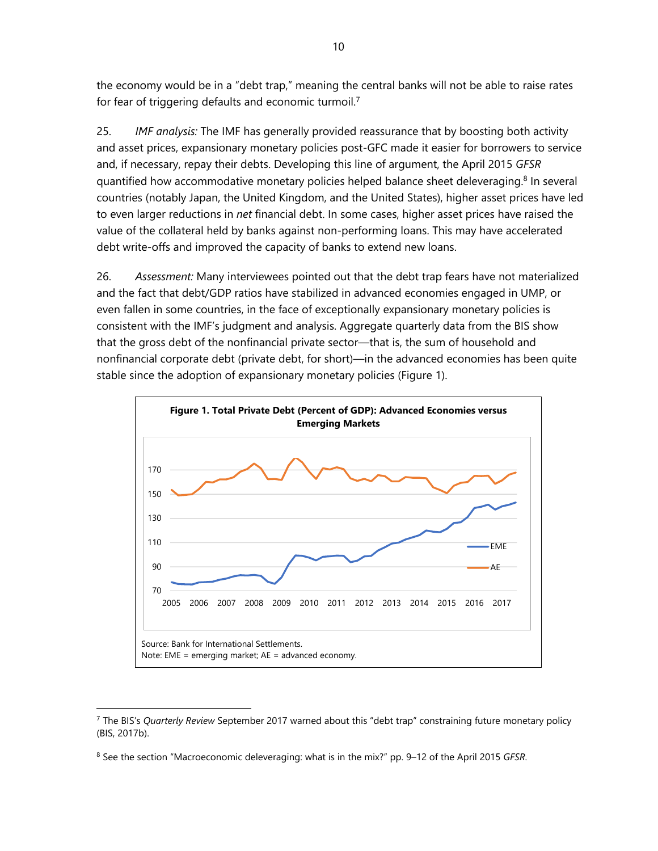the economy would be in a "debt trap," meaning the central banks will not be able to raise rates for fear of triggering defaults and economic turmoil.7

25. *IMF analysis:* The IMF has generally provided reassurance that by boosting both activity and asset prices, expansionary monetary policies post-GFC made it easier for borrowers to service and, if necessary, repay their debts. Developing this line of argument, the April 2015 *GFSR* quantified how accommodative monetary policies helped balance sheet deleveraging.<sup>8</sup> In several countries (notably Japan, the United Kingdom, and the United States), higher asset prices have led to even larger reductions in *net* financial debt. In some cases, higher asset prices have raised the value of the collateral held by banks against non-performing loans. This may have accelerated debt write-offs and improved the capacity of banks to extend new loans.

26. *Assessment:* Many interviewees pointed out that the debt trap fears have not materialized and the fact that debt/GDP ratios have stabilized in advanced economies engaged in UMP, or even fallen in some countries, in the face of exceptionally expansionary monetary policies is consistent with the IMF's judgment and analysis. Aggregate quarterly data from the BIS show that the gross debt of the nonfinancial private sector—that is, the sum of household and nonfinancial corporate debt (private debt, for short)—in the advanced economies has been quite stable since the adoption of expansionary monetary policies (Figure 1).



<sup>7</sup> The BIS's *Quarterly Review* September 2017 warned about this "debt trap" constraining future monetary policy (BIS, 2017b).

<sup>8</sup> See the section "Macroeconomic deleveraging: what is in the mix?" pp. 9–12 of the April 2015 *GFSR*.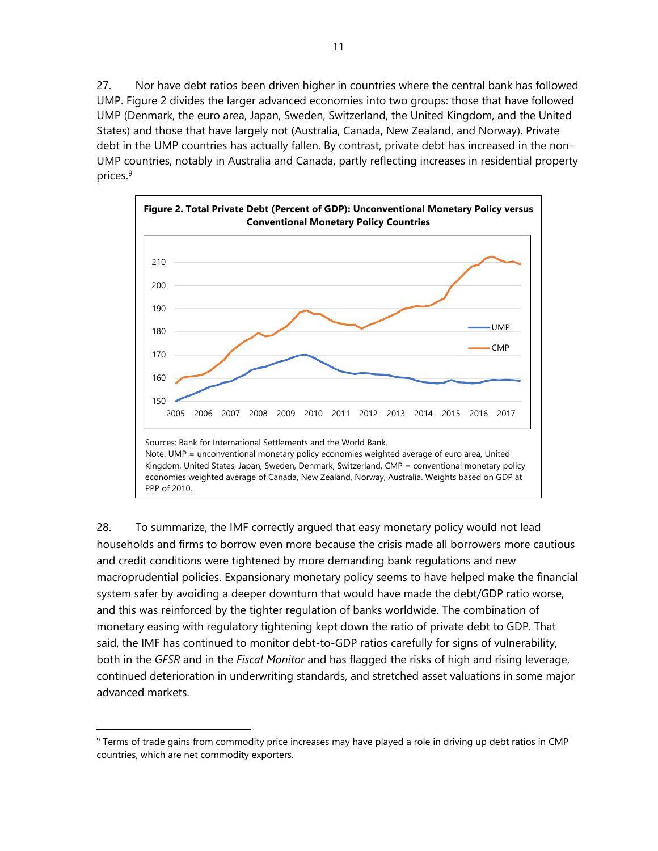27. Nor have debt ratios been driven higher in countries where the central bank has followed UMP. Figure 2 divides the larger advanced economies into two groups: those that have followed UMP (Denmark, the euro area, Japan, Sweden, Switzerland, the United Kingdom, and the United States) and those that have largely not (Australia, Canada, New Zealand, and Norway). Private debt in the UMP countries has actually fallen. By contrast, private debt has increased in the non-UMP countries, notably in Australia and Canada, partly reflecting increases in residential property prices.9



28. To summarize, the IMF correctly argued that easy monetary policy would not lead households and firms to borrow even more because the crisis made all borrowers more cautious and credit conditions were tightened by more demanding bank regulations and new macroprudential policies. Expansionary monetary policy seems to have helped make the financial system safer by avoiding a deeper downturn that would have made the debt/GDP ratio worse, and this was reinforced by the tighter regulation of banks worldwide. The combination of monetary easing with regulatory tightening kept down the ratio of private debt to GDP. That said, the IMF has continued to monitor debt-to-GDP ratios carefully for signs of vulnerability, both in the *GFSR* and in the *Fiscal Monitor* and has flagged the risks of high and rising leverage, continued deterioration in underwriting standards, and stretched asset valuations in some major advanced markets.

-

<sup>&</sup>lt;sup>9</sup> Terms of trade gains from commodity price increases may have played a role in driving up debt ratios in CMP countries, which are net commodity exporters.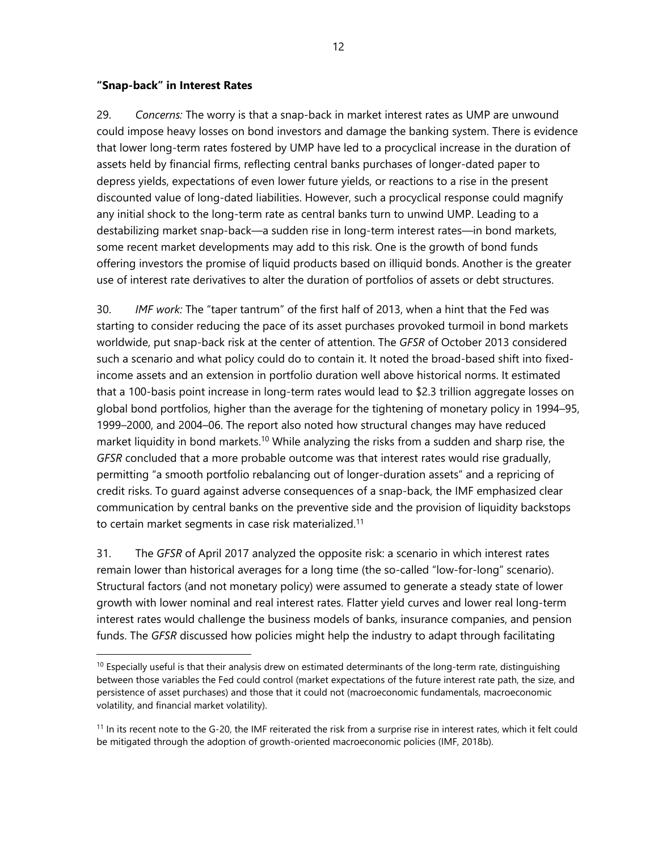### **"Snap-back" in Interest Rates**

1

29. *Concerns:* The worry is that a snap-back in market interest rates as UMP are unwound could impose heavy losses on bond investors and damage the banking system. There is evidence that lower long-term rates fostered by UMP have led to a procyclical increase in the duration of assets held by financial firms, reflecting central banks purchases of longer-dated paper to depress yields, expectations of even lower future yields, or reactions to a rise in the present discounted value of long-dated liabilities. However, such a procyclical response could magnify any initial shock to the long-term rate as central banks turn to unwind UMP. Leading to a destabilizing market snap-back—a sudden rise in long-term interest rates—in bond markets, some recent market developments may add to this risk. One is the growth of bond funds offering investors the promise of liquid products based on illiquid bonds. Another is the greater use of interest rate derivatives to alter the duration of portfolios of assets or debt structures.

30. *IMF work:* The "taper tantrum" of the first half of 2013, when a hint that the Fed was starting to consider reducing the pace of its asset purchases provoked turmoil in bond markets worldwide, put snap-back risk at the center of attention. The *GFSR* of October 2013 considered such a scenario and what policy could do to contain it. It noted the broad-based shift into fixedincome assets and an extension in portfolio duration well above historical norms. It estimated that a 100-basis point increase in long-term rates would lead to \$2.3 trillion aggregate losses on global bond portfolios, higher than the average for the tightening of monetary policy in 1994–95, 1999–2000, and 2004–06. The report also noted how structural changes may have reduced market liquidity in bond markets.<sup>10</sup> While analyzing the risks from a sudden and sharp rise, the *GFSR* concluded that a more probable outcome was that interest rates would rise gradually, permitting "a smooth portfolio rebalancing out of longer-duration assets" and a repricing of credit risks. To guard against adverse consequences of a snap-back, the IMF emphasized clear communication by central banks on the preventive side and the provision of liquidity backstops to certain market segments in case risk materialized.<sup>11</sup>

31. The *GFSR* of April 2017 analyzed the opposite risk: a scenario in which interest rates remain lower than historical averages for a long time (the so-called "low-for-long" scenario). Structural factors (and not monetary policy) were assumed to generate a steady state of lower growth with lower nominal and real interest rates. Flatter yield curves and lower real long-term interest rates would challenge the business models of banks, insurance companies, and pension funds. The *GFSR* discussed how policies might help the industry to adapt through facilitating

 $10$  Especially useful is that their analysis drew on estimated determinants of the long-term rate, distinguishing between those variables the Fed could control (market expectations of the future interest rate path, the size, and persistence of asset purchases) and those that it could not (macroeconomic fundamentals, macroeconomic volatility, and financial market volatility).

 $<sup>11</sup>$  In its recent note to the G-20, the IMF reiterated the risk from a surprise rise in interest rates, which it felt could</sup> be mitigated through the adoption of growth-oriented macroeconomic policies (IMF, 2018b).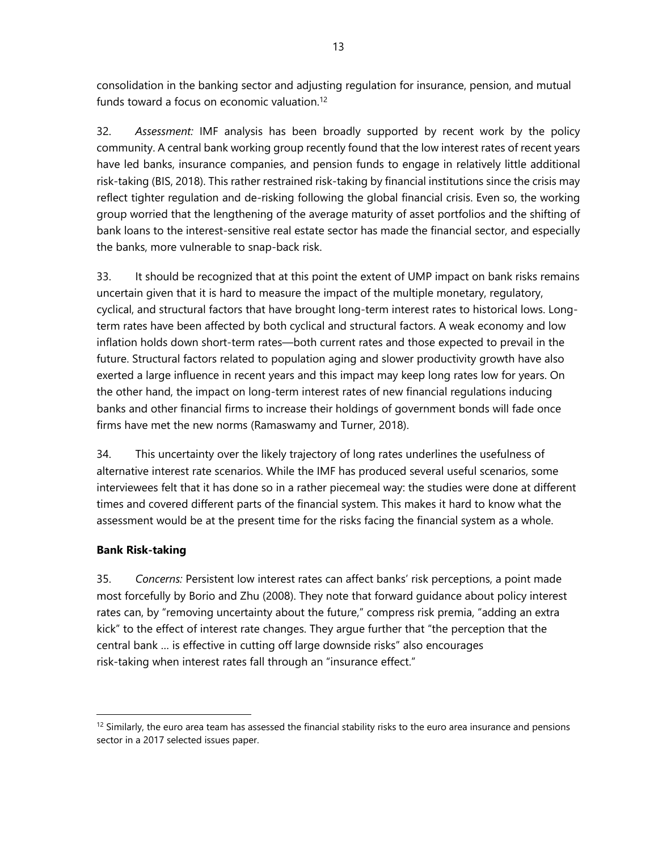consolidation in the banking sector and adjusting regulation for insurance, pension, and mutual funds toward a focus on economic valuation.12

32. *Assessment:* IMF analysis has been broadly supported by recent work by the policy community. A central bank working group recently found that the low interest rates of recent years have led banks, insurance companies, and pension funds to engage in relatively little additional risk-taking (BIS, 2018). This rather restrained risk-taking by financial institutions since the crisis may reflect tighter regulation and de-risking following the global financial crisis. Even so, the working group worried that the lengthening of the average maturity of asset portfolios and the shifting of bank loans to the interest-sensitive real estate sector has made the financial sector, and especially the banks, more vulnerable to snap-back risk.

33. It should be recognized that at this point the extent of UMP impact on bank risks remains uncertain given that it is hard to measure the impact of the multiple monetary, regulatory, cyclical, and structural factors that have brought long-term interest rates to historical lows. Longterm rates have been affected by both cyclical and structural factors. A weak economy and low inflation holds down short-term rates—both current rates and those expected to prevail in the future. Structural factors related to population aging and slower productivity growth have also exerted a large influence in recent years and this impact may keep long rates low for years. On the other hand, the impact on long-term interest rates of new financial regulations inducing banks and other financial firms to increase their holdings of government bonds will fade once firms have met the new norms (Ramaswamy and Turner, 2018).

34. This uncertainty over the likely trajectory of long rates underlines the usefulness of alternative interest rate scenarios. While the IMF has produced several useful scenarios, some interviewees felt that it has done so in a rather piecemeal way: the studies were done at different times and covered different parts of the financial system. This makes it hard to know what the assessment would be at the present time for the risks facing the financial system as a whole.

## **Bank Risk-taking**

1

35. *Concerns:* Persistent low interest rates can affect banks' risk perceptions, a point made most forcefully by Borio and Zhu (2008). They note that forward guidance about policy interest rates can, by "removing uncertainty about the future," compress risk premia, "adding an extra kick" to the effect of interest rate changes. They argue further that "the perception that the central bank … is effective in cutting off large downside risks" also encourages risk-taking when interest rates fall through an "insurance effect."

 $12$  Similarly, the euro area team has assessed the financial stability risks to the euro area insurance and pensions sector in a 2017 selected issues paper.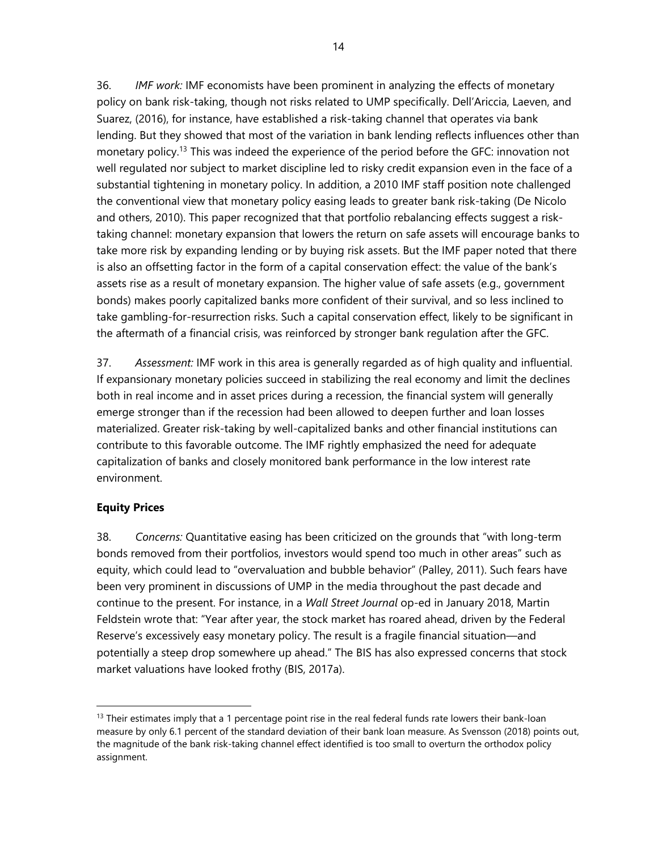36. *IMF work:* IMF economists have been prominent in analyzing the effects of monetary policy on bank risk-taking, though not risks related to UMP specifically. Dell'Ariccia, Laeven, and Suarez, (2016), for instance, have established a risk-taking channel that operates via bank lending. But they showed that most of the variation in bank lending reflects influences other than monetary policy.<sup>13</sup> This was indeed the experience of the period before the GFC: innovation not well regulated nor subject to market discipline led to risky credit expansion even in the face of a substantial tightening in monetary policy. In addition, a 2010 IMF staff position note challenged the conventional view that monetary policy easing leads to greater bank risk-taking (De Nicolo and others, 2010). This paper recognized that that portfolio rebalancing effects suggest a risktaking channel: monetary expansion that lowers the return on safe assets will encourage banks to take more risk by expanding lending or by buying risk assets. But the IMF paper noted that there is also an offsetting factor in the form of a capital conservation effect: the value of the bank's assets rise as a result of monetary expansion. The higher value of safe assets (e.g., government bonds) makes poorly capitalized banks more confident of their survival, and so less inclined to take gambling-for-resurrection risks. Such a capital conservation effect, likely to be significant in the aftermath of a financial crisis, was reinforced by stronger bank regulation after the GFC.

37. *Assessment:* IMF work in this area is generally regarded as of high quality and influential. If expansionary monetary policies succeed in stabilizing the real economy and limit the declines both in real income and in asset prices during a recession, the financial system will generally emerge stronger than if the recession had been allowed to deepen further and loan losses materialized. Greater risk-taking by well-capitalized banks and other financial institutions can contribute to this favorable outcome. The IMF rightly emphasized the need for adequate capitalization of banks and closely monitored bank performance in the low interest rate environment.

## **Equity Prices**

-

38. *Concerns:* Quantitative easing has been criticized on the grounds that "with long-term bonds removed from their portfolios, investors would spend too much in other areas" such as equity, which could lead to "overvaluation and bubble behavior" (Palley, 2011). Such fears have been very prominent in discussions of UMP in the media throughout the past decade and continue to the present. For instance, in a *Wall Street Journal* op-ed in January 2018, Martin Feldstein wrote that: "Year after year, the stock market has roared ahead, driven by the Federal Reserve's excessively easy monetary policy. The result is a fragile financial situation—and potentially a steep drop somewhere up ahead." The BIS has also expressed concerns that stock market valuations have looked frothy (BIS, 2017a).

 $13$  Their estimates imply that a 1 percentage point rise in the real federal funds rate lowers their bank-loan measure by only 6.1 percent of the standard deviation of their bank loan measure. As Svensson (2018) points out, the magnitude of the bank risk-taking channel effect identified is too small to overturn the orthodox policy assignment.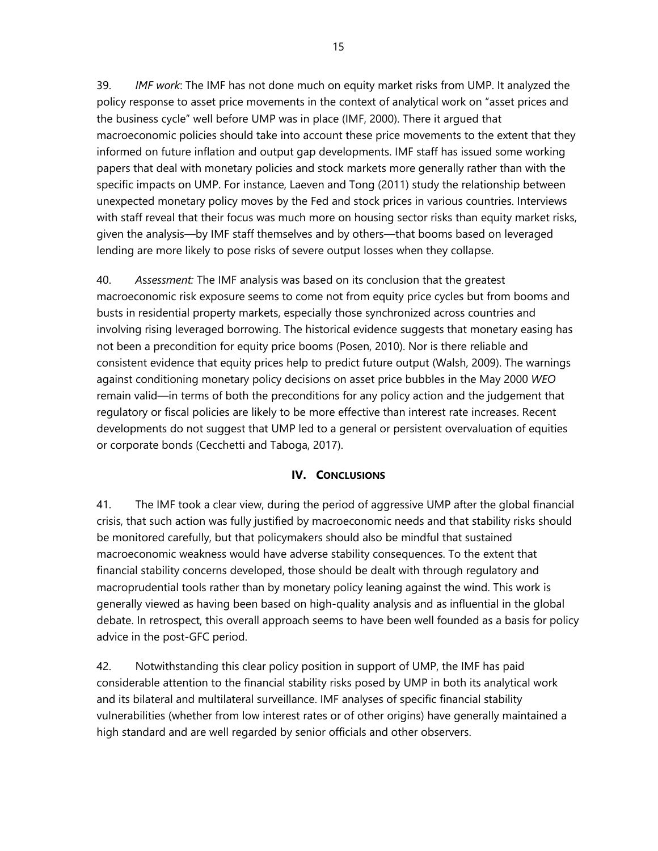39. *IMF work*: The IMF has not done much on equity market risks from UMP. It analyzed the policy response to asset price movements in the context of analytical work on "asset prices and the business cycle" well before UMP was in place (IMF, 2000). There it argued that macroeconomic policies should take into account these price movements to the extent that they informed on future inflation and output gap developments. IMF staff has issued some working papers that deal with monetary policies and stock markets more generally rather than with the specific impacts on UMP. For instance, Laeven and Tong (2011) study the relationship between unexpected monetary policy moves by the Fed and stock prices in various countries. Interviews with staff reveal that their focus was much more on housing sector risks than equity market risks, given the analysis—by IMF staff themselves and by others—that booms based on leveraged lending are more likely to pose risks of severe output losses when they collapse.

40. *A*s*sessment:* The IMF analysis was based on its conclusion that the greatest macroeconomic risk exposure seems to come not from equity price cycles but from booms and busts in residential property markets, especially those synchronized across countries and involving rising leveraged borrowing. The historical evidence suggests that monetary easing has not been a precondition for equity price booms (Posen, 2010). Nor is there reliable and consistent evidence that equity prices help to predict future output (Walsh, 2009). The warnings against conditioning monetary policy decisions on asset price bubbles in the May 2000 *WEO*  remain valid—in terms of both the preconditions for any policy action and the judgement that regulatory or fiscal policies are likely to be more effective than interest rate increases. Recent developments do not suggest that UMP led to a general or persistent overvaluation of equities or corporate bonds (Cecchetti and Taboga, 2017).

### **IV. CONCLUSIONS**

41. The IMF took a clear view, during the period of aggressive UMP after the global financial crisis, that such action was fully justified by macroeconomic needs and that stability risks should be monitored carefully, but that policymakers should also be mindful that sustained macroeconomic weakness would have adverse stability consequences. To the extent that financial stability concerns developed, those should be dealt with through regulatory and macroprudential tools rather than by monetary policy leaning against the wind. This work is generally viewed as having been based on high-quality analysis and as influential in the global debate. In retrospect, this overall approach seems to have been well founded as a basis for policy advice in the post-GFC period.

42. Notwithstanding this clear policy position in support of UMP, the IMF has paid considerable attention to the financial stability risks posed by UMP in both its analytical work and its bilateral and multilateral surveillance. IMF analyses of specific financial stability vulnerabilities (whether from low interest rates or of other origins) have generally maintained a high standard and are well regarded by senior officials and other observers.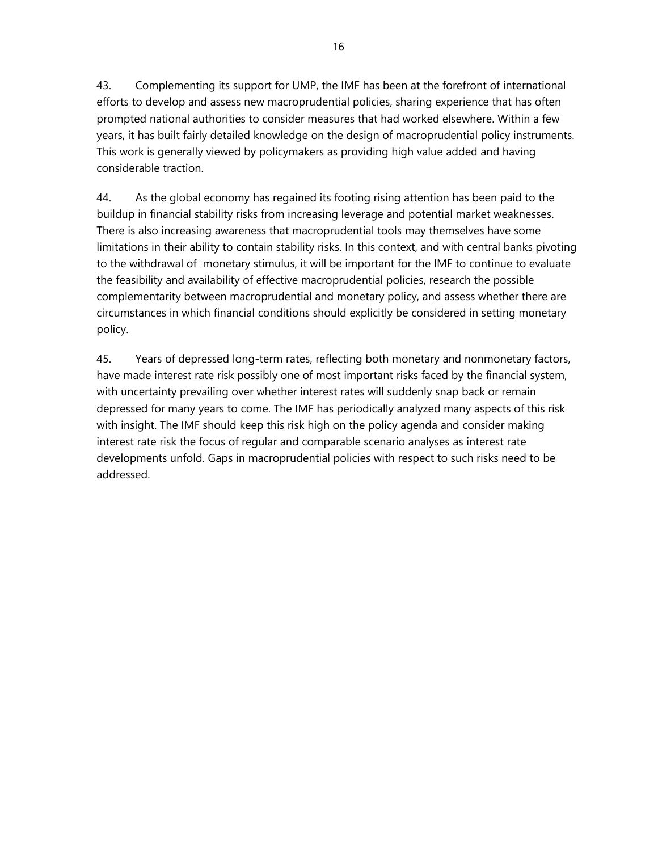43. Complementing its support for UMP, the IMF has been at the forefront of international efforts to develop and assess new macroprudential policies, sharing experience that has often prompted national authorities to consider measures that had worked elsewhere. Within a few years, it has built fairly detailed knowledge on the design of macroprudential policy instruments. This work is generally viewed by policymakers as providing high value added and having considerable traction.

44. As the global economy has regained its footing rising attention has been paid to the buildup in financial stability risks from increasing leverage and potential market weaknesses. There is also increasing awareness that macroprudential tools may themselves have some limitations in their ability to contain stability risks. In this context, and with central banks pivoting to the withdrawal of monetary stimulus, it will be important for the IMF to continue to evaluate the feasibility and availability of effective macroprudential policies, research the possible complementarity between macroprudential and monetary policy, and assess whether there are circumstances in which financial conditions should explicitly be considered in setting monetary policy.

45. Years of depressed long-term rates, reflecting both monetary and nonmonetary factors, have made interest rate risk possibly one of most important risks faced by the financial system, with uncertainty prevailing over whether interest rates will suddenly snap back or remain depressed for many years to come. The IMF has periodically analyzed many aspects of this risk with insight. The IMF should keep this risk high on the policy agenda and consider making interest rate risk the focus of regular and comparable scenario analyses as interest rate developments unfold. Gaps in macroprudential policies with respect to such risks need to be addressed.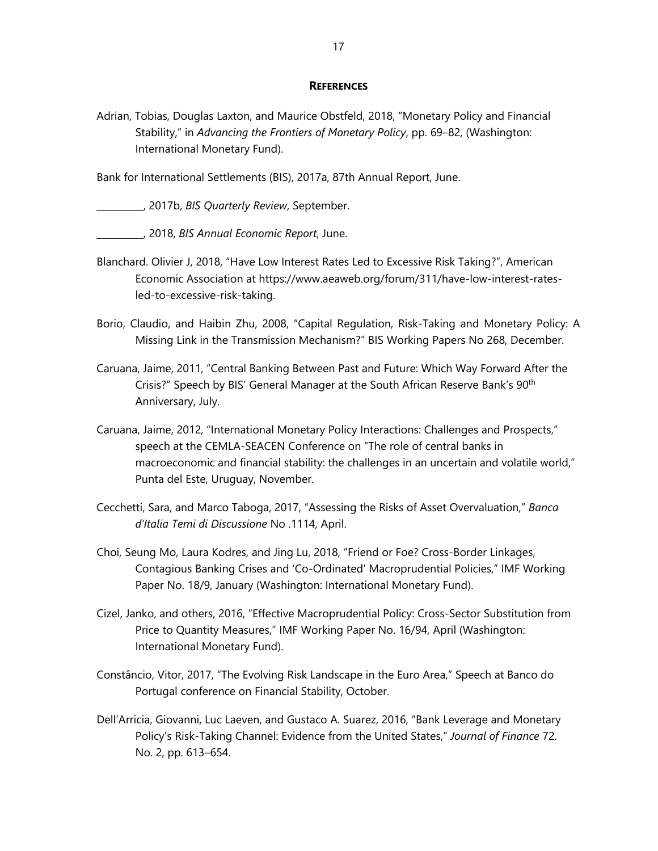### **REFERENCES**

Adrian, Tobias, Douglas Laxton, and Maurice Obstfeld, 2018, "Monetary Policy and Financial Stability," in *Advancing the Frontiers of Monetary Policy*, pp. 69–82, (Washington: International Monetary Fund).

Bank for International Settlements (BIS), 2017a, 87th Annual Report, June.

\_\_\_\_\_\_\_\_\_\_, 2017b, *BIS Quarterly Review*, September.

\_\_\_\_\_\_\_\_\_\_, 2018, *BIS Annual Economic Report*, June.

- Blanchard. Olivier J, 2018, "Have Low Interest Rates Led to Excessive Risk Taking?", American Economic Association at https://www.aeaweb.org/forum/311/have-low-interest-ratesled-to-excessive-risk-taking.
- Borio, Claudio, and Haibin Zhu, 2008, "Capital Regulation, Risk-Taking and Monetary Policy: A Missing Link in the Transmission Mechanism?" BIS Working Papers No 268, December.
- Caruana, Jaime, 2011, "Central Banking Between Past and Future: Which Way Forward After the Crisis?" Speech by BIS' General Manager at the South African Reserve Bank's 90<sup>th</sup> Anniversary, July.
- Caruana, Jaime, 2012, "International Monetary Policy Interactions: Challenges and Prospects," speech at the CEMLA-SEACEN Conference on "The role of central banks in macroeconomic and financial stability: the challenges in an uncertain and volatile world," Punta del Este, Uruguay, November.
- Cecchetti, Sara, and Marco Taboga, 2017, "Assessing the Risks of Asset Overvaluation," *Banca d'Italia Temi di Discussione* No .1114, April.
- Choi, Seung Mo, Laura Kodres, and Jing Lu, 2018, "Friend or Foe? Cross-Border Linkages, Contagious Banking Crises and 'Co-Ordinated' Macroprudential Policies," IMF Working Paper No. 18/9, January (Washington: International Monetary Fund).
- Cizel, Janko, and others, 2016, "Effective Macroprudential Policy: Cross-Sector Substitution from Price to Quantity Measures," IMF Working Paper No. 16/94, April (Washington: International Monetary Fund).
- Constâncio, Vitor, 2017, "The Evolving Risk Landscape in the Euro Area," Speech at Banco do Portugal conference on Financial Stability, October.
- Dell'Arricia, Giovanni, Luc Laeven, and Gustaco A. Suarez, 2016, "Bank Leverage and Monetary Policy's Risk-Taking Channel: Evidence from the United States," *Journal of Finance* 72. No. 2, pp. 613–654.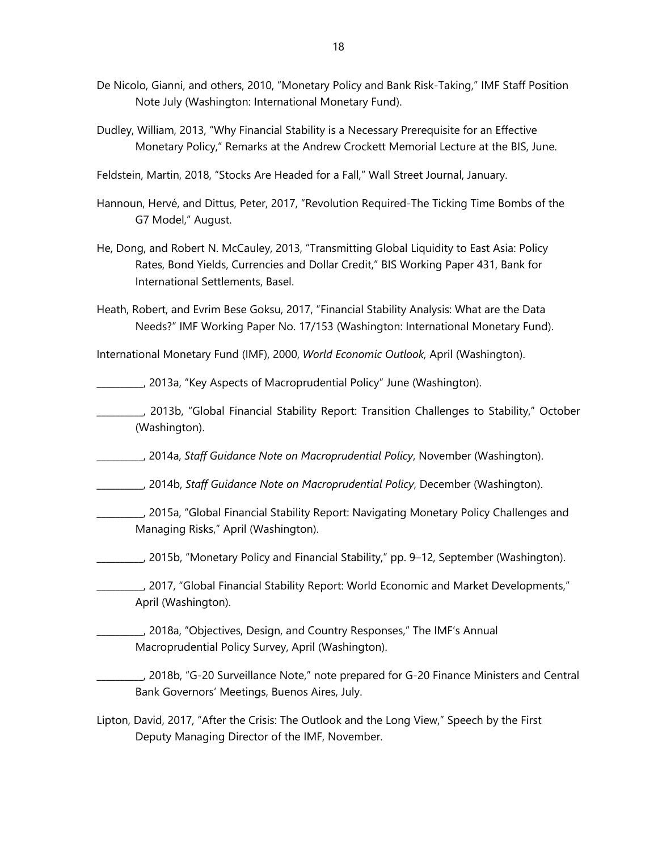- De Nicolo, Gianni, and others, 2010, "Monetary Policy and Bank Risk-Taking," IMF Staff Position Note July (Washington: International Monetary Fund).
- Dudley, William, 2013, "Why Financial Stability is a Necessary Prerequisite for an Effective Monetary Policy," Remarks at the Andrew Crockett Memorial Lecture at the BIS, June.
- Feldstein, Martin, 2018, "Stocks Are Headed for a Fall," Wall Street Journal, January.
- Hannoun, Hervé, and Dittus, Peter, 2017, "Revolution Required-The Ticking Time Bombs of the G7 Model," August.
- He, Dong, and Robert N. McCauley, 2013, "Transmitting Global Liquidity to East Asia: Policy Rates, Bond Yields, Currencies and Dollar Credit," BIS Working Paper 431, Bank for International Settlements, Basel.
- Heath, Robert, and Evrim Bese Goksu, 2017, "Financial Stability Analysis: What are the Data Needs?" IMF Working Paper No. 17/153 (Washington: International Monetary Fund).

International Monetary Fund (IMF), 2000, *World Economic Outlook,* April (Washington).

\_\_\_\_\_\_\_\_\_\_, 2013a, "Key Aspects of Macroprudential Policy" June (Washington).

\_\_\_\_\_\_\_\_\_\_, 2013b, "Global Financial Stability Report: Transition Challenges to Stability," October (Washington).

\_\_\_\_\_\_\_\_\_\_, 2014a, *Staff Guidance Note on Macroprudential Policy*, November (Washington).

\_\_\_\_\_\_\_\_\_\_, 2014b, *Staff Guidance Note on Macroprudential Policy*, December (Washington).

- \_\_\_\_\_\_\_\_\_\_, 2015a, "Global Financial Stability Report: Navigating Monetary Policy Challenges and Managing Risks," April (Washington).
- \_\_\_\_\_\_\_\_\_\_, 2015b, "Monetary Policy and Financial Stability," pp. 9–12, September (Washington).
- \_\_\_\_\_\_\_\_\_\_, 2017, "Global Financial Stability Report: World Economic and Market Developments," April (Washington).
- \_\_\_\_\_\_\_\_\_\_, 2018a, "Objectives, Design, and Country Responses," The IMF's Annual Macroprudential Policy Survey, April (Washington).
- \_\_\_\_\_\_\_\_\_\_, 2018b, "G-20 Surveillance Note," note prepared for G-20 Finance Ministers and Central Bank Governors' Meetings, Buenos Aires, July.
- Lipton, David, 2017, "After the Crisis: The Outlook and the Long View," Speech by the First Deputy Managing Director of the IMF, November.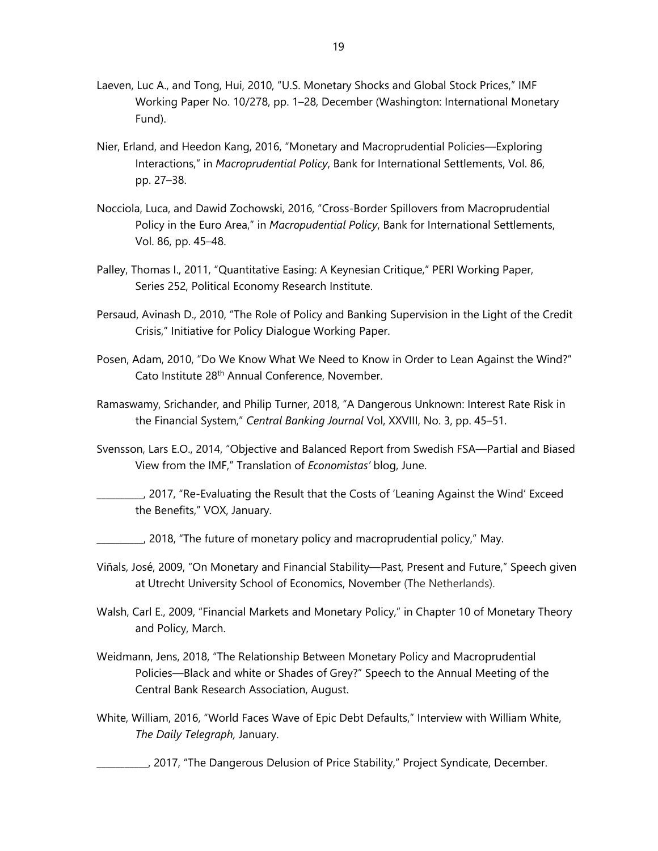- Laeven, Luc A., and Tong, Hui, 2010, "U.S. Monetary Shocks and Global Stock Prices," IMF Working Paper No. 10/278, pp. 1–28, December (Washington: International Monetary Fund).
- Nier, Erland, and Heedon Kang, 2016, "Monetary and Macroprudential Policies—Exploring Interactions," in *Macroprudential Policy*, Bank for International Settlements, Vol. 86, pp. 27–38.
- Nocciola, Luca, and Dawid Zochowski, 2016, "Cross-Border Spillovers from Macroprudential Policy in the Euro Area," in *Macropudential Policy*, Bank for International Settlements, Vol. 86, pp. 45–48.
- Palley, Thomas I., 2011, "Quantitative Easing: A Keynesian Critique," PERI Working Paper, Series 252, Political Economy Research Institute.
- Persaud, Avinash D., 2010, "The Role of Policy and Banking Supervision in the Light of the Credit Crisis," Initiative for Policy Dialogue Working Paper.
- Posen, Adam, 2010, "Do We Know What We Need to Know in Order to Lean Against the Wind?" Cato Institute 28th Annual Conference, November.
- Ramaswamy, Srichander, and Philip Turner, 2018, "A Dangerous Unknown: Interest Rate Risk in the Financial System," *Central Banking Journal* Vol, XXVIII, No. 3, pp. 45–51.
- Svensson, Lars E.O., 2014, "Objective and Balanced Report from Swedish FSA—Partial and Biased View from the IMF," Translation of *Economistas'* blog, June.
- \_\_\_\_\_\_\_\_\_\_, 2017, "Re-Evaluating the Result that the Costs of 'Leaning Against the Wind' Exceed the Benefits," VOX, January.
- \_\_\_\_\_\_\_\_\_\_, 2018, "The future of monetary policy and macroprudential policy," May.
- Viñals, José, 2009, "On Monetary and Financial Stability—Past, Present and Future," Speech given at Utrecht University School of Economics, November (The Netherlands).
- Walsh, Carl E., 2009, "Financial Markets and Monetary Policy," in Chapter 10 of Monetary Theory and Policy, March.
- Weidmann, Jens, 2018, "The Relationship Between Monetary Policy and Macroprudential Policies—Black and white or Shades of Grey?" Speech to the Annual Meeting of the Central Bank Research Association, August.
- White, William, 2016, "World Faces Wave of Epic Debt Defaults," Interview with William White, *The Daily Telegraph,* January.
	- \_\_\_\_\_\_\_\_\_\_\_, 2017, "The Dangerous Delusion of Price Stability," Project Syndicate, December.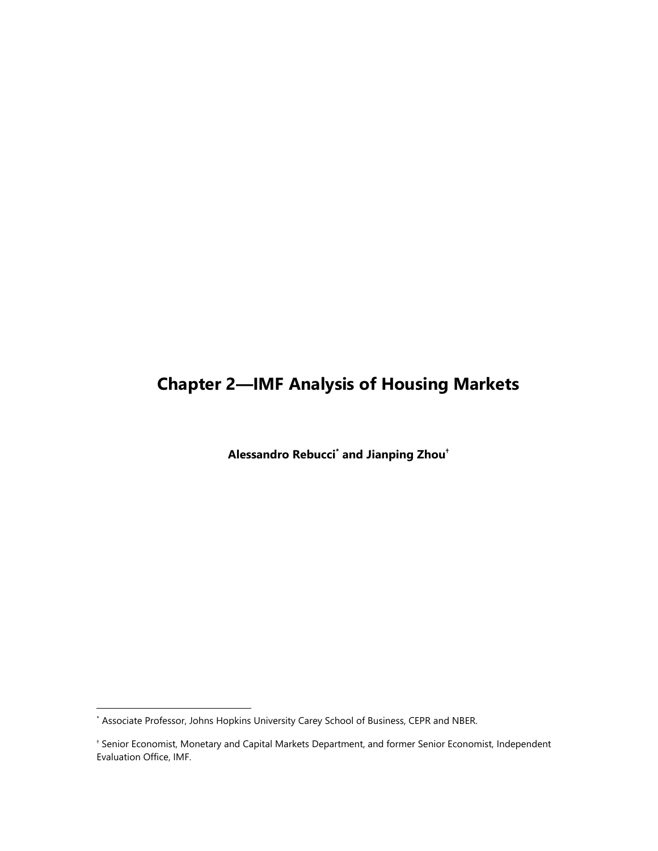## **Chapter 2—IMF Analysis of Housing Markets**

**Alessandro Rebucci\* and Jianping Zhou†**

<sup>\*</sup> Associate Professor, Johns Hopkins University Carey School of Business, CEPR and NBER.

<sup>†</sup> Senior Economist, Monetary and Capital Markets Department, and former Senior Economist, Independent Evaluation Office, IMF.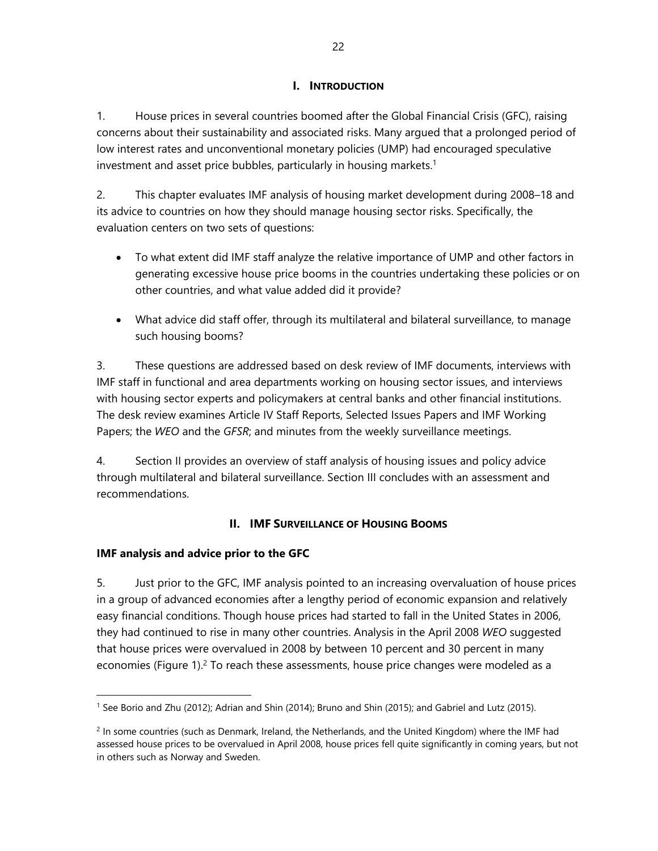### **I. INTRODUCTION**

1. House prices in several countries boomed after the Global Financial Crisis (GFC), raising concerns about their sustainability and associated risks. Many argued that a prolonged period of low interest rates and unconventional monetary policies (UMP) had encouraged speculative investment and asset price bubbles, particularly in housing markets.<sup>1</sup>

2. This chapter evaluates IMF analysis of housing market development during 2008–18 and its advice to countries on how they should manage housing sector risks. Specifically, the evaluation centers on two sets of questions:

- To what extent did IMF staff analyze the relative importance of UMP and other factors in generating excessive house price booms in the countries undertaking these policies or on other countries, and what value added did it provide?
- What advice did staff offer, through its multilateral and bilateral surveillance, to manage such housing booms?

3. These questions are addressed based on desk review of IMF documents, interviews with IMF staff in functional and area departments working on housing sector issues, and interviews with housing sector experts and policymakers at central banks and other financial institutions. The desk review examines Article IV Staff Reports, Selected Issues Papers and IMF Working Papers; the *WEO* and the *GFSR*; and minutes from the weekly surveillance meetings.

4. Section II provides an overview of staff analysis of housing issues and policy advice through multilateral and bilateral surveillance. Section III concludes with an assessment and recommendations.

## **II. IMF SURVEILLANCE OF HOUSING BOOMS**

## **IMF analysis and advice prior to the GFC**

 $\overline{a}$ 

5. Just prior to the GFC, IMF analysis pointed to an increasing overvaluation of house prices in a group of advanced economies after a lengthy period of economic expansion and relatively easy financial conditions. Though house prices had started to fall in the United States in 2006, they had continued to rise in many other countries. Analysis in the April 2008 *WEO* suggested that house prices were overvalued in 2008 by between 10 percent and 30 percent in many economies (Figure 1).<sup>2</sup> To reach these assessments, house price changes were modeled as a

<sup>1</sup> See Borio and Zhu (2012); Adrian and Shin (2014); Bruno and Shin (2015); and Gabriel and Lutz (2015).

 $<sup>2</sup>$  In some countries (such as Denmark, Ireland, the Netherlands, and the United Kingdom) where the IMF had</sup> assessed house prices to be overvalued in April 2008, house prices fell quite significantly in coming years, but not in others such as Norway and Sweden.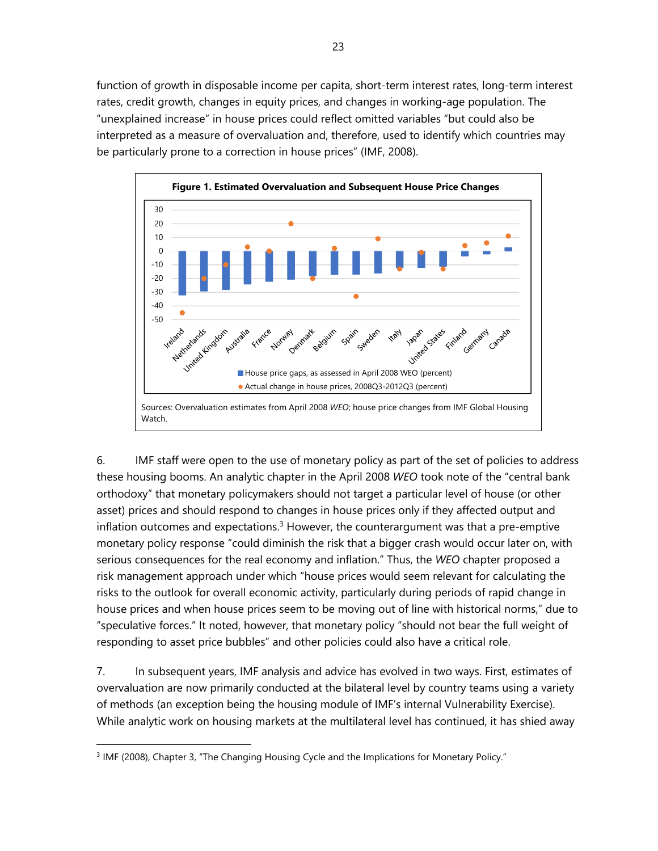function of growth in disposable income per capita, short-term interest rates, long-term interest rates, credit growth, changes in equity prices, and changes in working-age population. The "unexplained increase" in house prices could reflect omitted variables "but could also be interpreted as a measure of overvaluation and, therefore, used to identify which countries may be particularly prone to a correction in house prices" (IMF, 2008).



6. IMF staff were open to the use of monetary policy as part of the set of policies to address these housing booms. An analytic chapter in the April 2008 *WEO* took note of the "central bank orthodoxy" that monetary policymakers should not target a particular level of house (or other asset) prices and should respond to changes in house prices only if they affected output and inflation outcomes and expectations. $3$  However, the counterargument was that a pre-emptive monetary policy response "could diminish the risk that a bigger crash would occur later on, with serious consequences for the real economy and inflation." Thus, the *WEO* chapter proposed a risk management approach under which "house prices would seem relevant for calculating the risks to the outlook for overall economic activity, particularly during periods of rapid change in house prices and when house prices seem to be moving out of line with historical norms," due to "speculative forces." It noted, however, that monetary policy "should not bear the full weight of responding to asset price bubbles" and other policies could also have a critical role.

7. In subsequent years, IMF analysis and advice has evolved in two ways. First, estimates of overvaluation are now primarily conducted at the bilateral level by country teams using a variety of methods (an exception being the housing module of IMF's internal Vulnerability Exercise). While analytic work on housing markets at the multilateral level has continued, it has shied away

<sup>&</sup>lt;sup>3</sup> IMF (2008), Chapter 3, "The Changing Housing Cycle and the Implications for Monetary Policy."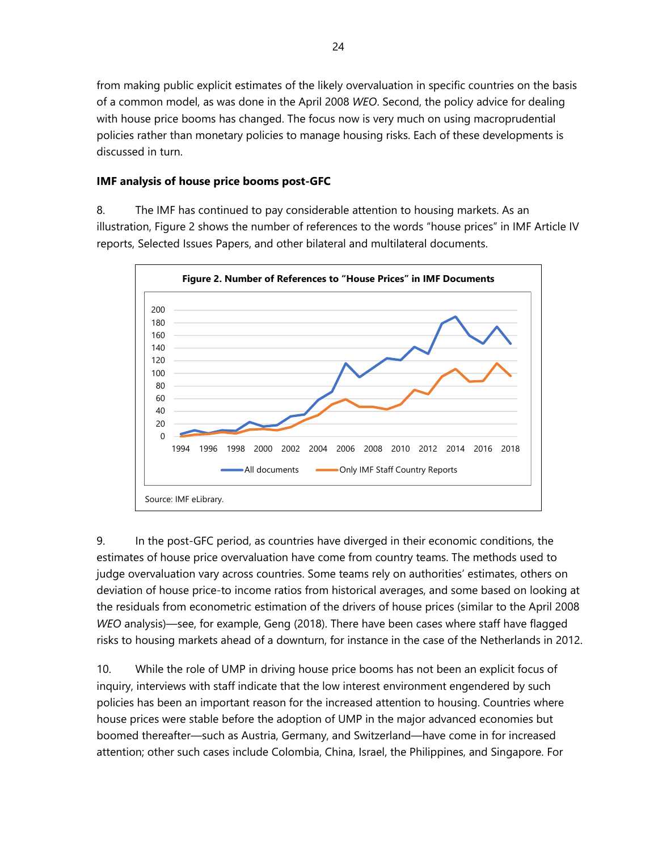from making public explicit estimates of the likely overvaluation in specific countries on the basis of a common model, as was done in the April 2008 *WEO*. Second, the policy advice for dealing with house price booms has changed. The focus now is very much on using macroprudential policies rather than monetary policies to manage housing risks. Each of these developments is discussed in turn.

### **IMF analysis of house price booms post-GFC**

8. The IMF has continued to pay considerable attention to housing markets. As an illustration, Figure 2 shows the number of references to the words "house prices" in IMF Article IV reports, Selected Issues Papers, and other bilateral and multilateral documents.



9. In the post-GFC period, as countries have diverged in their economic conditions, the estimates of house price overvaluation have come from country teams. The methods used to judge overvaluation vary across countries. Some teams rely on authorities' estimates, others on deviation of house price-to income ratios from historical averages, and some based on looking at the residuals from econometric estimation of the drivers of house prices (similar to the April 2008 *WEO* analysis)—see, for example, Geng (2018). There have been cases where staff have flagged risks to housing markets ahead of a downturn, for instance in the case of the Netherlands in 2012.

10. While the role of UMP in driving house price booms has not been an explicit focus of inquiry, interviews with staff indicate that the low interest environment engendered by such policies has been an important reason for the increased attention to housing. Countries where house prices were stable before the adoption of UMP in the major advanced economies but boomed thereafter—such as Austria, Germany, and Switzerland—have come in for increased attention; other such cases include Colombia, China, Israel, the Philippines, and Singapore. For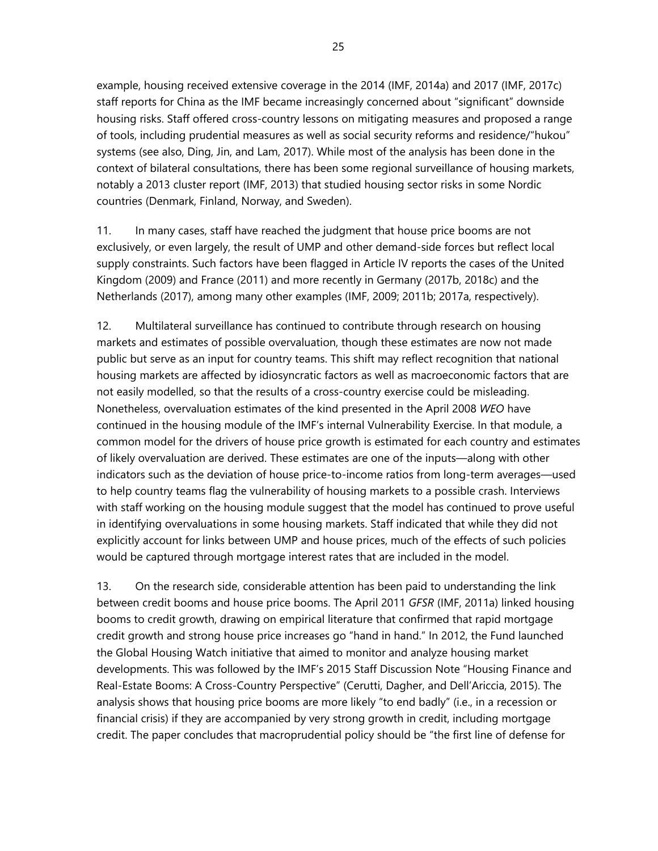example, housing received extensive coverage in the 2014 (IMF, 2014a) and 2017 (IMF, 2017c) staff reports for China as the IMF became increasingly concerned about "significant" downside housing risks. Staff offered cross-country lessons on mitigating measures and proposed a range of tools, including prudential measures as well as social security reforms and residence/"hukou" systems (see also, Ding, Jin, and Lam, 2017). While most of the analysis has been done in the context of bilateral consultations, there has been some regional surveillance of housing markets, notably a 2013 cluster report (IMF, 2013) that studied housing sector risks in some Nordic countries (Denmark, Finland, Norway, and Sweden).

11. In many cases, staff have reached the judgment that house price booms are not exclusively, or even largely, the result of UMP and other demand-side forces but reflect local supply constraints. Such factors have been flagged in Article IV reports the cases of the United Kingdom (2009) and France (2011) and more recently in Germany (2017b, 2018c) and the Netherlands (2017), among many other examples (IMF, 2009; 2011b; 2017a, respectively).

12. Multilateral surveillance has continued to contribute through research on housing markets and estimates of possible overvaluation, though these estimates are now not made public but serve as an input for country teams. This shift may reflect recognition that national housing markets are affected by idiosyncratic factors as well as macroeconomic factors that are not easily modelled, so that the results of a cross-country exercise could be misleading. Nonetheless, overvaluation estimates of the kind presented in the April 2008 *WEO* have continued in the housing module of the IMF's internal Vulnerability Exercise. In that module, a common model for the drivers of house price growth is estimated for each country and estimates of likely overvaluation are derived. These estimates are one of the inputs—along with other indicators such as the deviation of house price-to-income ratios from long-term averages—used to help country teams flag the vulnerability of housing markets to a possible crash. Interviews with staff working on the housing module suggest that the model has continued to prove useful in identifying overvaluations in some housing markets. Staff indicated that while they did not explicitly account for links between UMP and house prices, much of the effects of such policies would be captured through mortgage interest rates that are included in the model.

13. On the research side, considerable attention has been paid to understanding the link between credit booms and house price booms. The April 2011 *GFSR* (IMF, 2011a) linked housing booms to credit growth, drawing on empirical literature that confirmed that rapid mortgage credit growth and strong house price increases go "hand in hand." In 2012, the Fund launched the Global Housing Watch initiative that aimed to monitor and analyze housing market developments. This was followed by the IMF's 2015 Staff Discussion Note "Housing Finance and Real-Estate Booms: A Cross-Country Perspective" (Cerutti, Dagher, and Dell'Ariccia, 2015). The analysis shows that housing price booms are more likely "to end badly" (i.e., in a recession or financial crisis) if they are accompanied by very strong growth in credit, including mortgage credit. The paper concludes that macroprudential policy should be "the first line of defense for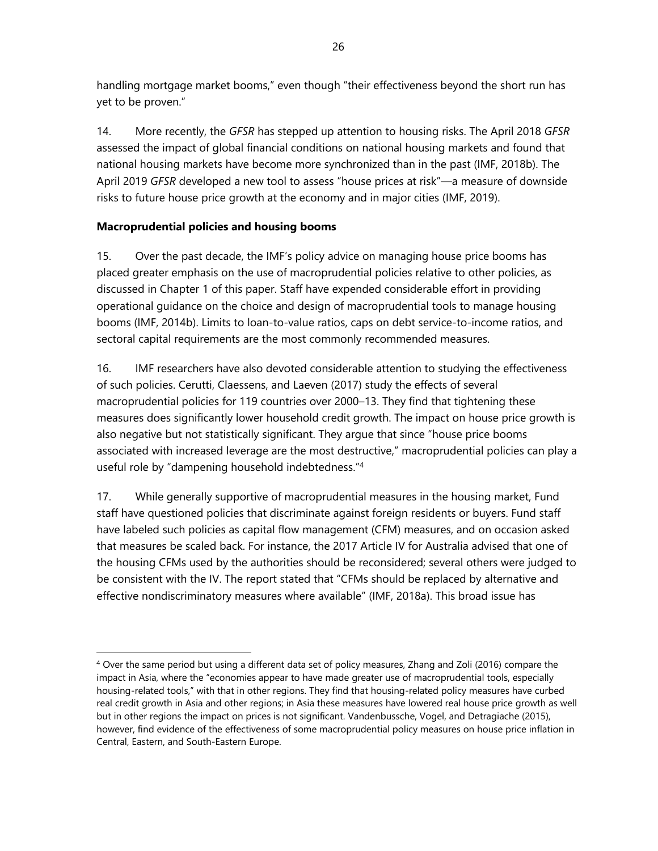handling mortgage market booms," even though "their effectiveness beyond the short run has yet to be proven."

14. More recently, the *GFSR* has stepped up attention to housing risks. The April 2018 *GFSR* assessed the impact of global financial conditions on national housing markets and found that national housing markets have become more synchronized than in the past (IMF, 2018b). The April 2019 *GFSR* developed a new tool to assess "house prices at risk"—a measure of downside risks to future house price growth at the economy and in major cities (IMF, 2019).

## **Macroprudential policies and housing booms**

-

15. Over the past decade, the IMF's policy advice on managing house price booms has placed greater emphasis on the use of macroprudential policies relative to other policies, as discussed in Chapter 1 of this paper. Staff have expended considerable effort in providing operational guidance on the choice and design of macroprudential tools to manage housing booms (IMF, 2014b). Limits to loan-to-value ratios, caps on debt service-to-income ratios, and sectoral capital requirements are the most commonly recommended measures.

16. IMF researchers have also devoted considerable attention to studying the effectiveness of such policies. Cerutti, Claessens, and Laeven (2017) study the effects of several macroprudential policies for 119 countries over 2000–13. They find that tightening these measures does significantly lower household credit growth. The impact on house price growth is also negative but not statistically significant. They argue that since "house price booms associated with increased leverage are the most destructive," macroprudential policies can play a useful role by "dampening household indebtedness."4

17. While generally supportive of macroprudential measures in the housing market, Fund staff have questioned policies that discriminate against foreign residents or buyers. Fund staff have labeled such policies as capital flow management (CFM) measures, and on occasion asked that measures be scaled back. For instance, the 2017 Article IV for Australia advised that one of the housing CFMs used by the authorities should be reconsidered; several others were judged to be consistent with the IV. The report stated that "CFMs should be replaced by alternative and effective nondiscriminatory measures where available" (IMF, 2018a). This broad issue has

<sup>4</sup> Over the same period but using a different data set of policy measures, Zhang and Zoli (2016) compare the impact in Asia, where the "economies appear to have made greater use of macroprudential tools, especially housing-related tools," with that in other regions. They find that housing-related policy measures have curbed real credit growth in Asia and other regions; in Asia these measures have lowered real house price growth as well but in other regions the impact on prices is not significant. Vandenbussche, Vogel, and Detragiache (2015), however, find evidence of the effectiveness of some macroprudential policy measures on house price inflation in Central, Eastern, and South-Eastern Europe.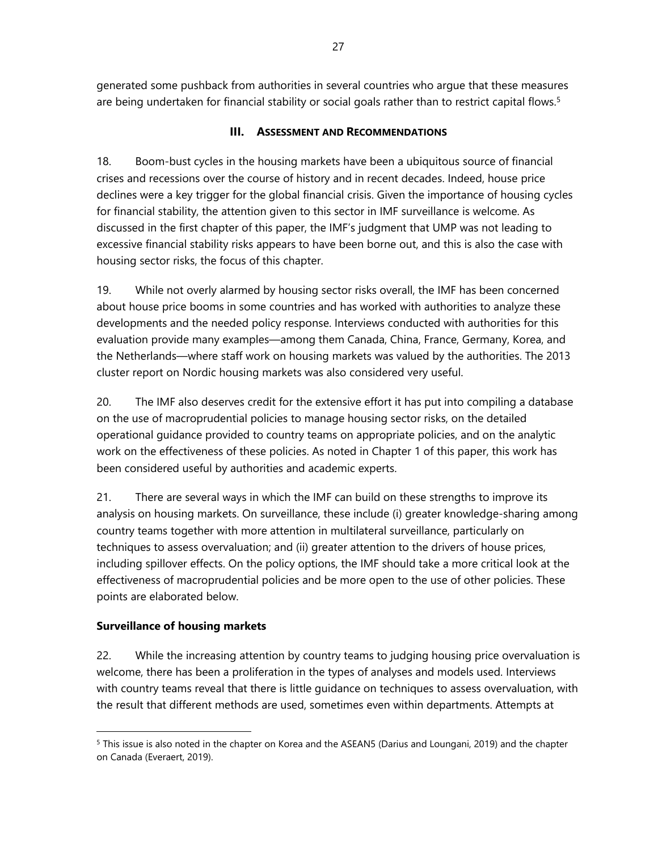generated some pushback from authorities in several countries who argue that these measures are being undertaken for financial stability or social goals rather than to restrict capital flows.<sup>5</sup>

## **III. ASSESSMENT AND RECOMMENDATIONS**

18. Boom-bust cycles in the housing markets have been a ubiquitous source of financial crises and recessions over the course of history and in recent decades. Indeed, house price declines were a key trigger for the global financial crisis. Given the importance of housing cycles for financial stability, the attention given to this sector in IMF surveillance is welcome. As discussed in the first chapter of this paper, the IMF's judgment that UMP was not leading to excessive financial stability risks appears to have been borne out, and this is also the case with housing sector risks, the focus of this chapter.

19. While not overly alarmed by housing sector risks overall, the IMF has been concerned about house price booms in some countries and has worked with authorities to analyze these developments and the needed policy response. Interviews conducted with authorities for this evaluation provide many examples—among them Canada, China, France, Germany, Korea, and the Netherlands—where staff work on housing markets was valued by the authorities. The 2013 cluster report on Nordic housing markets was also considered very useful.

20. The IMF also deserves credit for the extensive effort it has put into compiling a database on the use of macroprudential policies to manage housing sector risks, on the detailed operational guidance provided to country teams on appropriate policies, and on the analytic work on the effectiveness of these policies. As noted in Chapter 1 of this paper, this work has been considered useful by authorities and academic experts.

21. There are several ways in which the IMF can build on these strengths to improve its analysis on housing markets. On surveillance, these include (i) greater knowledge-sharing among country teams together with more attention in multilateral surveillance, particularly on techniques to assess overvaluation; and (ii) greater attention to the drivers of house prices, including spillover effects. On the policy options, the IMF should take a more critical look at the effectiveness of macroprudential policies and be more open to the use of other policies. These points are elaborated below.

## **Surveillance of housing markets**

-

22. While the increasing attention by country teams to judging housing price overvaluation is welcome, there has been a proliferation in the types of analyses and models used. Interviews with country teams reveal that there is little guidance on techniques to assess overvaluation, with the result that different methods are used, sometimes even within departments. Attempts at

<sup>&</sup>lt;sup>5</sup> This issue is also noted in the chapter on Korea and the ASEAN5 (Darius and Loungani, 2019) and the chapter on Canada (Everaert, 2019).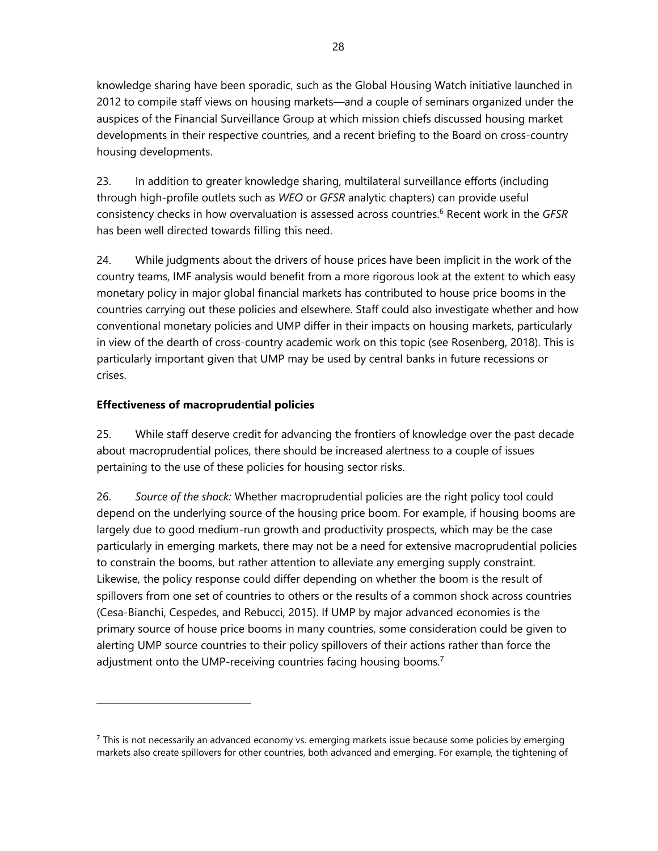knowledge sharing have been sporadic, such as the Global Housing Watch initiative launched in 2012 to compile staff views on housing markets—and a couple of seminars organized under the auspices of the Financial Surveillance Group at which mission chiefs discussed housing market developments in their respective countries, and a recent briefing to the Board on cross-country housing developments.

23. In addition to greater knowledge sharing, multilateral surveillance efforts (including through high-profile outlets such as *WEO* or *GFSR* analytic chapters) can provide useful consistency checks in how overvaluation is assessed across countries.6 Recent work in the *GFSR* has been well directed towards filling this need.

24. While judgments about the drivers of house prices have been implicit in the work of the country teams, IMF analysis would benefit from a more rigorous look at the extent to which easy monetary policy in major global financial markets has contributed to house price booms in the countries carrying out these policies and elsewhere. Staff could also investigate whether and how conventional monetary policies and UMP differ in their impacts on housing markets, particularly in view of the dearth of cross-country academic work on this topic (see Rosenberg, 2018). This is particularly important given that UMP may be used by central banks in future recessions or crises.

## **Effectiveness of macroprudential policies**

-

25. While staff deserve credit for advancing the frontiers of knowledge over the past decade about macroprudential polices, there should be increased alertness to a couple of issues pertaining to the use of these policies for housing sector risks.

26. *Source of the shock:* Whether macroprudential policies are the right policy tool could depend on the underlying source of the housing price boom. For example, if housing booms are largely due to good medium-run growth and productivity prospects, which may be the case particularly in emerging markets, there may not be a need for extensive macroprudential policies to constrain the booms, but rather attention to alleviate any emerging supply constraint. Likewise, the policy response could differ depending on whether the boom is the result of spillovers from one set of countries to others or the results of a common shock across countries (Cesa-Bianchi, Cespedes, and Rebucci, 2015). If UMP by major advanced economies is the primary source of house price booms in many countries, some consideration could be given to alerting UMP source countries to their policy spillovers of their actions rather than force the adjustment onto the UMP-receiving countries facing housing booms.<sup>7</sup>

 $<sup>7</sup>$  This is not necessarily an advanced economy vs. emerging markets issue because some policies by emerging</sup> markets also create spillovers for other countries, both advanced and emerging. For example, the tightening of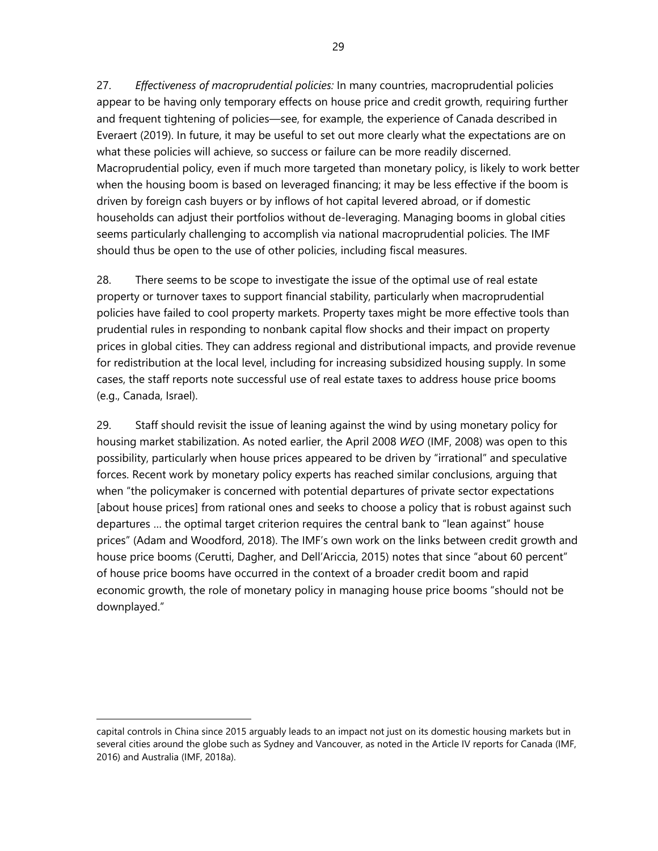27. *Effectiveness of macroprudential policies:* In many countries, macroprudential policies appear to be having only temporary effects on house price and credit growth, requiring further and frequent tightening of policies—see, for example, the experience of Canada described in Everaert (2019). In future, it may be useful to set out more clearly what the expectations are on what these policies will achieve, so success or failure can be more readily discerned. Macroprudential policy, even if much more targeted than monetary policy, is likely to work better when the housing boom is based on leveraged financing; it may be less effective if the boom is driven by foreign cash buyers or by inflows of hot capital levered abroad, or if domestic households can adjust their portfolios without de-leveraging. Managing booms in global cities seems particularly challenging to accomplish via national macroprudential policies. The IMF should thus be open to the use of other policies, including fiscal measures.

28. There seems to be scope to investigate the issue of the optimal use of real estate property or turnover taxes to support financial stability, particularly when macroprudential policies have failed to cool property markets. Property taxes might be more effective tools than prudential rules in responding to nonbank capital flow shocks and their impact on property prices in global cities. They can address regional and distributional impacts, and provide revenue for redistribution at the local level, including for increasing subsidized housing supply. In some cases, the staff reports note successful use of real estate taxes to address house price booms (e.g., Canada, Israel).

29. Staff should revisit the issue of leaning against the wind by using monetary policy for housing market stabilization. As noted earlier, the April 2008 *WEO* (IMF, 2008) was open to this possibility, particularly when house prices appeared to be driven by "irrational" and speculative forces. Recent work by monetary policy experts has reached similar conclusions, arguing that when "the policymaker is concerned with potential departures of private sector expectations [about house prices] from rational ones and seeks to choose a policy that is robust against such departures … the optimal target criterion requires the central bank to "lean against" house prices" (Adam and Woodford, 2018). The IMF's own work on the links between credit growth and house price booms (Cerutti, Dagher, and Dell'Ariccia, 2015) notes that since "about 60 percent" of house price booms have occurred in the context of a broader credit boom and rapid economic growth, the role of monetary policy in managing house price booms "should not be downplayed."

capital controls in China since 2015 arguably leads to an impact not just on its domestic housing markets but in several cities around the globe such as Sydney and Vancouver, as noted in the Article IV reports for Canada (IMF, 2016) and Australia (IMF, 2018a).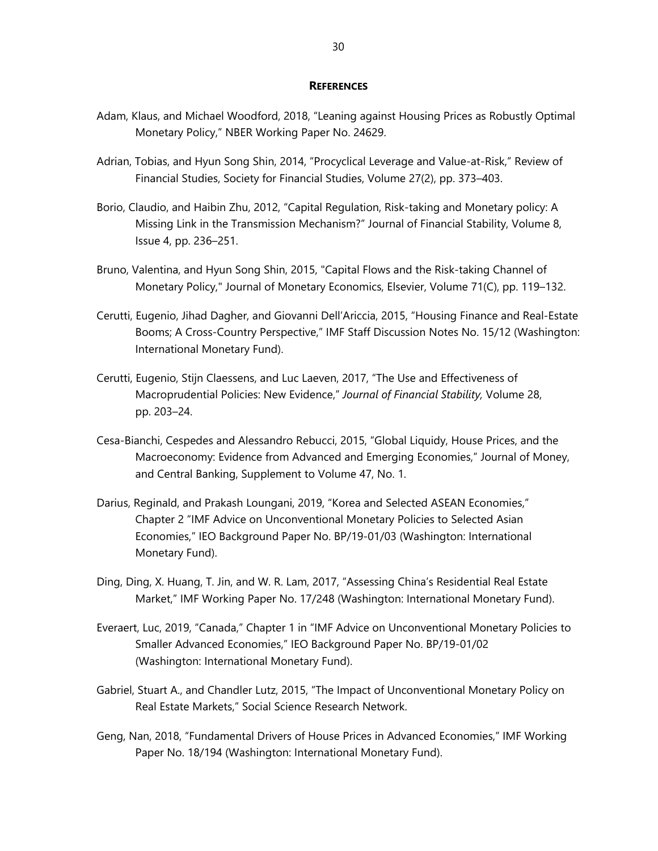#### **REFERENCES**

- Adam, Klaus, and Michael Woodford, 2018, "Leaning against Housing Prices as Robustly Optimal Monetary Policy," NBER Working Paper No. 24629.
- Adrian, Tobias, and Hyun Song Shin, 2014, "Procyclical Leverage and Value-at-Risk," Review of Financial Studies, Society for Financial Studies, Volume 27(2), pp. 373–403.
- Borio, Claudio, and Haibin Zhu, 2012, "Capital Regulation, Risk-taking and Monetary policy: A Missing Link in the Transmission Mechanism?" Journal of Financial Stability, Volume 8, Issue 4, pp. 236–251.
- Bruno, Valentina, and Hyun Song Shin, 2015, "Capital Flows and the Risk-taking Channel of Monetary Policy," Journal of Monetary Economics, Elsevier, Volume 71(C), pp. 119–132.
- Cerutti, Eugenio, Jihad Dagher, and Giovanni Dell'Ariccia, 2015, "Housing Finance and Real-Estate Booms; A Cross-Country Perspective," IMF Staff Discussion Notes No. 15/12 (Washington: International Monetary Fund).
- Cerutti, Eugenio, Stijn Claessens, and Luc Laeven, 2017, "The Use and Effectiveness of Macroprudential Policies: New Evidence," *Journal of Financial Stability,* Volume 28, pp. 203–24.
- Cesa-Bianchi, Cespedes and Alessandro Rebucci, 2015, "Global Liquidy, House Prices, and the Macroeconomy: Evidence from Advanced and Emerging Economies," Journal of Money, and Central Banking, Supplement to Volume 47, No. 1.
- Darius, Reginald, and Prakash Loungani, 2019, "Korea and Selected ASEAN Economies," Chapter 2 "IMF Advice on Unconventional Monetary Policies to Selected Asian Economies," IEO Background Paper No. BP/19-01/03 (Washington: International Monetary Fund).
- Ding, Ding, X. Huang, T. Jin, and W. R. Lam, 2017, "Assessing China's Residential Real Estate Market," IMF Working Paper No. 17/248 (Washington: International Monetary Fund).
- Everaert, Luc, 2019, "Canada," Chapter 1 in "IMF Advice on Unconventional Monetary Policies to Smaller Advanced Economies," IEO Background Paper No. BP/19-01/02 (Washington: International Monetary Fund).
- Gabriel, Stuart A., and Chandler Lutz, 2015, "The Impact of Unconventional Monetary Policy on Real Estate Markets," Social Science Research Network.
- Geng, Nan, 2018, "Fundamental Drivers of House Prices in Advanced Economies," IMF Working Paper No. 18/194 (Washington: International Monetary Fund).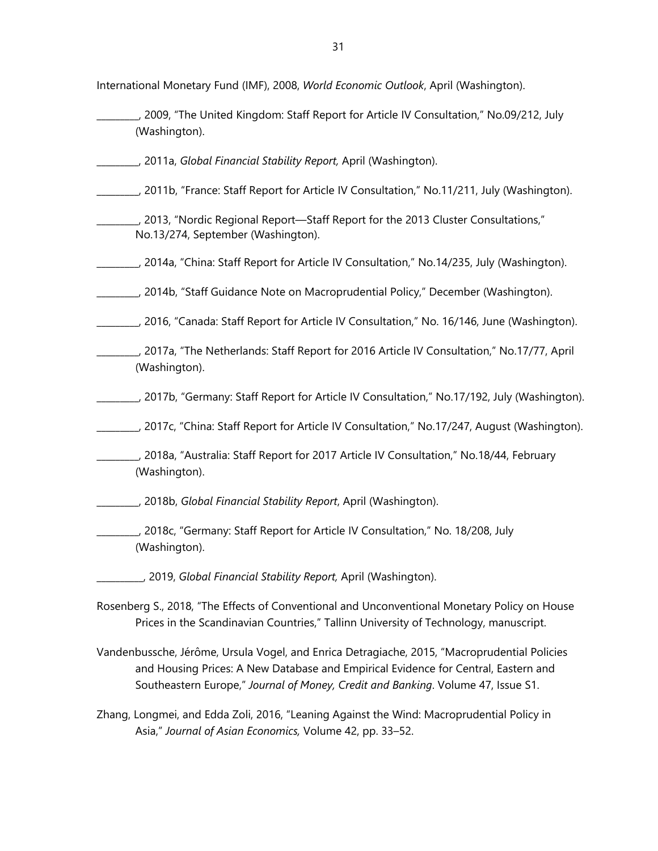International Monetary Fund (IMF), 2008, *World Economic Outlook*, April (Washington).

- \_\_\_\_\_\_\_\_\_, 2009, "The United Kingdom: Staff Report for Article IV Consultation," No.09/212, July (Washington).
- \_\_\_\_\_\_\_\_\_, 2011a, *Global Financial Stability Report,* April (Washington).
- \_\_\_\_\_\_\_\_\_, 2011b, "France: Staff Report for Article IV Consultation," No.11/211, July (Washington).
- \_\_\_\_\_\_\_\_\_, 2013, "Nordic Regional Report—Staff Report for the 2013 Cluster Consultations," No.13/274, September (Washington).
- \_\_\_\_\_\_\_\_\_, 2014a, "China: Staff Report for Article IV Consultation," No.14/235, July (Washington).
- \_\_\_\_\_\_\_\_\_, 2014b, "Staff Guidance Note on Macroprudential Policy," December (Washington).
- \_\_\_\_\_\_\_\_\_, 2016, "Canada: Staff Report for Article IV Consultation," No. 16/146, June (Washington).
- \_\_\_\_\_\_\_\_\_, 2017a, "The Netherlands: Staff Report for 2016 Article IV Consultation," No.17/77, April (Washington).
- \_\_\_\_\_\_\_\_\_, 2017b, "Germany: Staff Report for Article IV Consultation," No.17/192, July (Washington).
- \_\_\_\_\_\_\_\_\_, 2017c, "China: Staff Report for Article IV Consultation," No.17/247, August (Washington).
- \_\_\_\_\_\_\_\_\_, 2018a, "Australia: Staff Report for 2017 Article IV Consultation," No.18/44, February (Washington).

\_\_\_\_\_\_\_\_\_, 2018b, *Global Financial Stability Report*, April (Washington).

- \_\_\_\_\_\_\_\_\_, 2018c, "Germany: Staff Report for Article IV Consultation," No. 18/208, July (Washington).
	- \_\_\_\_\_\_\_\_\_\_, 2019, *Global Financial Stability Report,* April (Washington).
- Rosenberg S., 2018, "The Effects of Conventional and Unconventional Monetary Policy on House Prices in the Scandinavian Countries," Tallinn University of Technology, manuscript.
- Vandenbussche, Jérôme, Ursula Vogel, and Enrica Detragiache, 2015, "Macroprudential Policies and Housing Prices: A New Database and Empirical Evidence for Central, Eastern and Southeastern Europe," *Journal of Money, Credit and Banking*. Volume 47, Issue S1.
- Zhang, Longmei, and Edda Zoli, 2016, "Leaning Against the Wind: Macroprudential Policy in Asia," *Journal of Asian Economics,* Volume 42, pp. 33–52.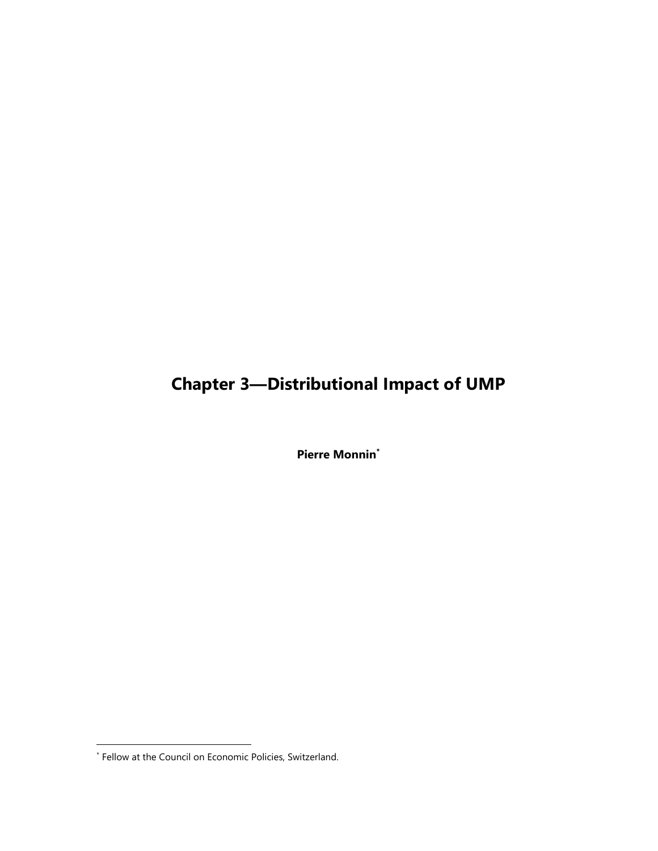# **Chapter 3—Distributional Impact of UMP**

**Pierre Monnin\***

<sup>\*</sup> Fellow at the Council on Economic Policies, Switzerland.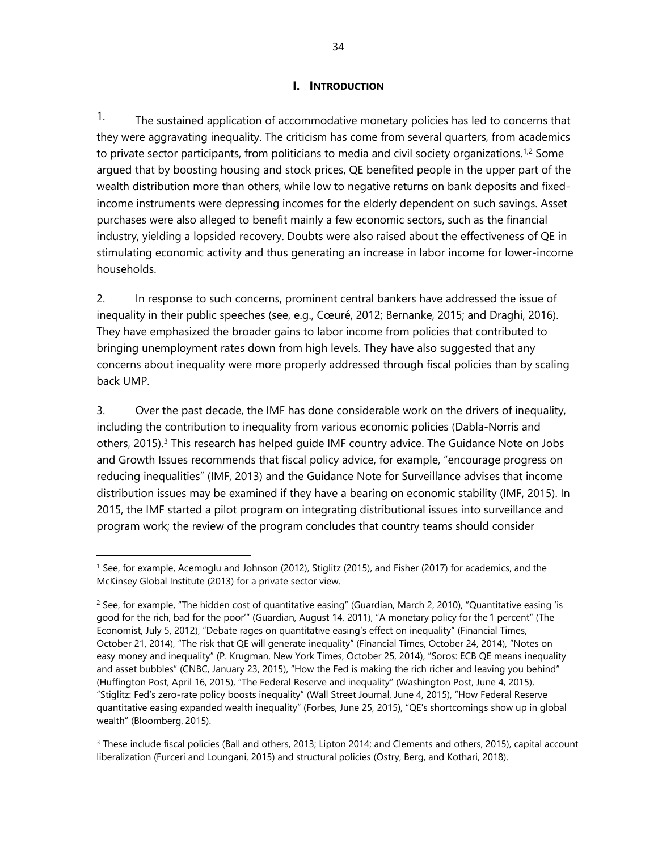### **I. INTRODUCTION**

<sup>1.</sup> The sustained application of accommodative monetary policies has led to concerns that they were aggravating inequality. The criticism has come from several quarters, from academics to private sector participants, from politicians to media and civil society organizations.<sup>1,2</sup> Some argued that by boosting housing and stock prices, QE benefited people in the upper part of the wealth distribution more than others, while low to negative returns on bank deposits and fixedincome instruments were depressing incomes for the elderly dependent on such savings. Asset purchases were also alleged to benefit mainly a few economic sectors, such as the financial industry, yielding a lopsided recovery. Doubts were also raised about the effectiveness of QE in stimulating economic activity and thus generating an increase in labor income for lower-income households.

2. In response to such concerns, prominent central bankers have addressed the issue of inequality in their public speeches (see, e.g., Cœuré, 2012; Bernanke, 2015; and Draghi, 2016). They have emphasized the broader gains to labor income from policies that contributed to bringing unemployment rates down from high levels. They have also suggested that any concerns about inequality were more properly addressed through fiscal policies than by scaling back UMP.

3. Over the past decade, the IMF has done considerable work on the drivers of inequality, including the contribution to inequality from various economic policies (Dabla-Norris and others, 2015).<sup>3</sup> This research has helped quide IMF country advice. The Guidance Note on Jobs and Growth Issues recommends that fiscal policy advice, for example, "encourage progress on reducing inequalities" (IMF, 2013) and the Guidance Note for Surveillance advises that income distribution issues may be examined if they have a bearing on economic stability (IMF, 2015). In 2015, the IMF started a pilot program on integrating distributional issues into surveillance and program work; the review of the program concludes that country teams should consider

<sup>1</sup> See, for example, Acemoglu and Johnson (2012), Stiglitz (2015), and Fisher (2017) for academics, and the McKinsey Global Institute (2013) for a private sector view.

<sup>&</sup>lt;sup>2</sup> See, for example, "The hidden cost of quantitative easing" (Guardian, March 2, 2010), "Quantitative easing 'is good for the rich, bad for the poor'" (Guardian, August 14, 2011), "A monetary policy for the 1 percent" (The Economist, July 5, 2012), "Debate rages on quantitative easing's effect on inequality" (Financial Times, October 21, 2014), "The risk that QE will generate inequality" (Financial Times, October 24, 2014), "Notes on easy money and inequality" (P. Krugman, New York Times, October 25, 2014), "Soros: ECB QE means inequality and asset bubbles" (CNBC, January 23, 2015), "How the Fed is making the rich richer and leaving you behind" (Huffington Post, April 16, 2015), "The Federal Reserve and inequality" (Washington Post, June 4, 2015), "Stiglitz: Fed's zero-rate policy boosts inequality" (Wall Street Journal, June 4, 2015), "How Federal Reserve quantitative easing expanded wealth inequality" (Forbes, June 25, 2015), "QE's shortcomings show up in global wealth" (Bloomberg, 2015).

<sup>&</sup>lt;sup>3</sup> These include fiscal policies (Ball and others, 2013; Lipton 2014; and Clements and others, 2015), capital account liberalization (Furceri and Loungani, 2015) and structural policies (Ostry, Berg, and Kothari, 2018).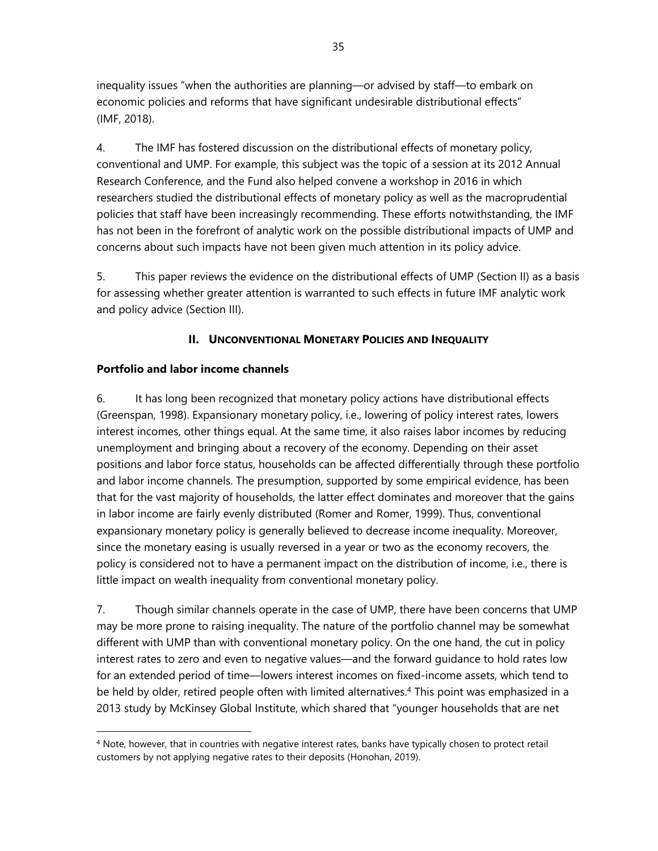inequality issues "when the authorities are planning—or advised by staff—to embark on economic policies and reforms that have significant undesirable distributional effects" (IMF, 2018).

4. The IMF has fostered discussion on the distributional effects of monetary policy, conventional and UMP. For example, this subject was the topic of a session at its 2012 Annual Research Conference, and the Fund also helped convene a workshop in 2016 in which researchers studied the distributional effects of monetary policy as well as the macroprudential policies that staff have been increasingly recommending. These efforts notwithstanding, the IMF has not been in the forefront of analytic work on the possible distributional impacts of UMP and concerns about such impacts have not been given much attention in its policy advice.

5. This paper reviews the evidence on the distributional effects of UMP (Section II) as a basis for assessing whether greater attention is warranted to such effects in future IMF analytic work and policy advice (Section III).

## **II. UNCONVENTIONAL MONETARY POLICIES AND INEQUALITY**

## **Portfolio and labor income channels**

 $\overline{a}$ 

6. It has long been recognized that monetary policy actions have distributional effects (Greenspan, 1998). Expansionary monetary policy, i.e., lowering of policy interest rates, lowers interest incomes, other things equal. At the same time, it also raises labor incomes by reducing unemployment and bringing about a recovery of the economy. Depending on their asset positions and labor force status, households can be affected differentially through these portfolio and labor income channels. The presumption, supported by some empirical evidence, has been that for the vast majority of households, the latter effect dominates and moreover that the gains in labor income are fairly evenly distributed (Romer and Romer, 1999). Thus, conventional expansionary monetary policy is generally believed to decrease income inequality. Moreover, since the monetary easing is usually reversed in a year or two as the economy recovers, the policy is considered not to have a permanent impact on the distribution of income, i.e., there is little impact on wealth inequality from conventional monetary policy.

7. Though similar channels operate in the case of UMP, there have been concerns that UMP may be more prone to raising inequality. The nature of the portfolio channel may be somewhat different with UMP than with conventional monetary policy. On the one hand, the cut in policy interest rates to zero and even to negative values—and the forward guidance to hold rates low for an extended period of time—lowers interest incomes on fixed-income assets, which tend to be held by older, retired people often with limited alternatives.<sup>4</sup> This point was emphasized in a 2013 study by McKinsey Global Institute, which shared that "younger households that are net

<sup>&</sup>lt;sup>4</sup> Note, however, that in countries with negative interest rates, banks have typically chosen to protect retail customers by not applying negative rates to their deposits (Honohan, 2019).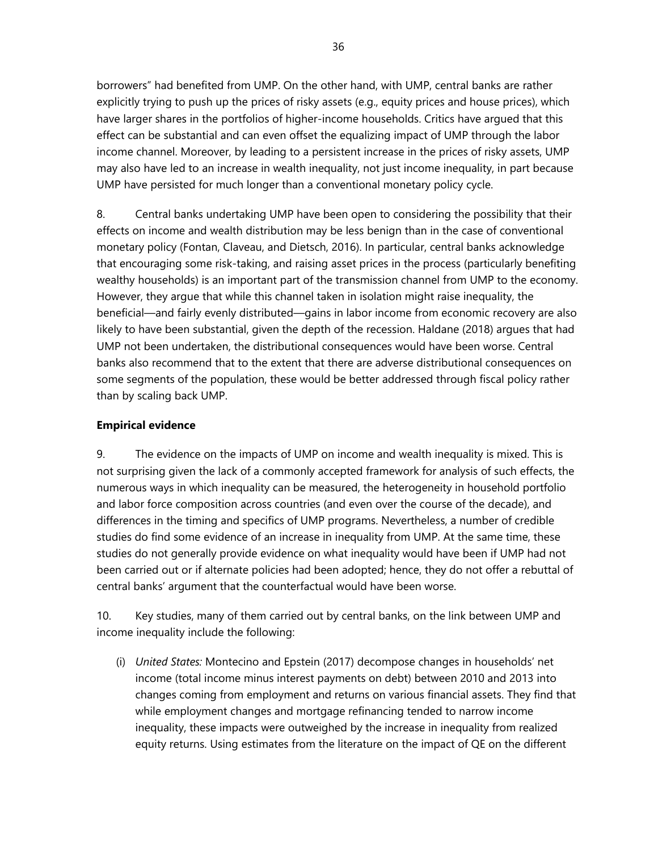borrowers" had benefited from UMP. On the other hand, with UMP, central banks are rather explicitly trying to push up the prices of risky assets (e.g., equity prices and house prices), which have larger shares in the portfolios of higher-income households. Critics have argued that this effect can be substantial and can even offset the equalizing impact of UMP through the labor income channel. Moreover, by leading to a persistent increase in the prices of risky assets, UMP may also have led to an increase in wealth inequality, not just income inequality, in part because UMP have persisted for much longer than a conventional monetary policy cycle.

8. Central banks undertaking UMP have been open to considering the possibility that their effects on income and wealth distribution may be less benign than in the case of conventional monetary policy (Fontan, Claveau, and Dietsch, 2016). In particular, central banks acknowledge that encouraging some risk-taking, and raising asset prices in the process (particularly benefiting wealthy households) is an important part of the transmission channel from UMP to the economy. However, they argue that while this channel taken in isolation might raise inequality, the beneficial—and fairly evenly distributed—gains in labor income from economic recovery are also likely to have been substantial, given the depth of the recession. Haldane (2018) argues that had UMP not been undertaken, the distributional consequences would have been worse. Central banks also recommend that to the extent that there are adverse distributional consequences on some segments of the population, these would be better addressed through fiscal policy rather than by scaling back UMP.

### **Empirical evidence**

9. The evidence on the impacts of UMP on income and wealth inequality is mixed. This is not surprising given the lack of a commonly accepted framework for analysis of such effects, the numerous ways in which inequality can be measured, the heterogeneity in household portfolio and labor force composition across countries (and even over the course of the decade), and differences in the timing and specifics of UMP programs. Nevertheless, a number of credible studies do find some evidence of an increase in inequality from UMP. At the same time, these studies do not generally provide evidence on what inequality would have been if UMP had not been carried out or if alternate policies had been adopted; hence, they do not offer a rebuttal of central banks' argument that the counterfactual would have been worse.

10. Key studies, many of them carried out by central banks, on the link between UMP and income inequality include the following:

(i) *United States:* Montecino and Epstein (2017) decompose changes in households' net income (total income minus interest payments on debt) between 2010 and 2013 into changes coming from employment and returns on various financial assets. They find that while employment changes and mortgage refinancing tended to narrow income inequality, these impacts were outweighed by the increase in inequality from realized equity returns. Using estimates from the literature on the impact of QE on the different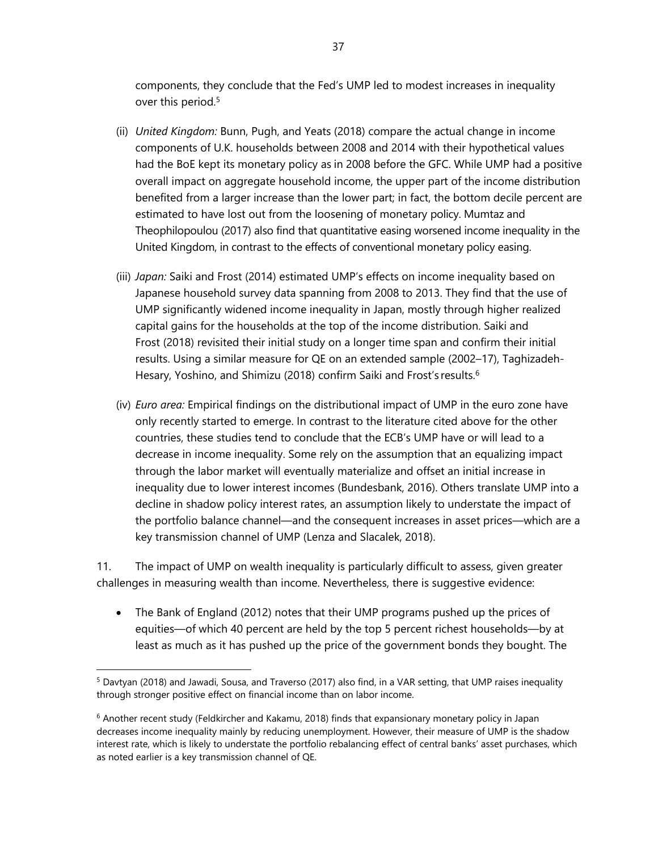components, they conclude that the Fed's UMP led to modest increases in inequality over this period.<sup>5</sup>

- (ii) *United Kingdom:* Bunn, Pugh, and Yeats (2018) compare the actual change in income components of U.K. households between 2008 and 2014 with their hypothetical values had the BoE kept its monetary policy as in 2008 before the GFC. While UMP had a positive overall impact on aggregate household income, the upper part of the income distribution benefited from a larger increase than the lower part; in fact, the bottom decile percent are estimated to have lost out from the loosening of monetary policy. Mumtaz and Theophilopoulou (2017) also find that quantitative easing worsened income inequality in the United Kingdom, in contrast to the effects of conventional monetary policy easing.
- (iii) *Japan:* Saiki and Frost (2014) estimated UMP's effects on income inequality based on Japanese household survey data spanning from 2008 to 2013. They find that the use of UMP significantly widened income inequality in Japan, mostly through higher realized capital gains for the households at the top of the income distribution. Saiki and Frost (2018) revisited their initial study on a longer time span and confirm their initial results. Using a similar measure for QE on an extended sample (2002–17), Taghizadeh-Hesary, Yoshino, and Shimizu (2018) confirm Saiki and Frost's results.<sup>6</sup>
- (iv) *Euro area:* Empirical findings on the distributional impact of UMP in the euro zone have only recently started to emerge. In contrast to the literature cited above for the other countries, these studies tend to conclude that the ECB's UMP have or will lead to a decrease in income inequality. Some rely on the assumption that an equalizing impact through the labor market will eventually materialize and offset an initial increase in inequality due to lower interest incomes (Bundesbank, 2016). Others translate UMP into a decline in shadow policy interest rates, an assumption likely to understate the impact of the portfolio balance channel—and the consequent increases in asset prices—which are a key transmission channel of UMP (Lenza and Slacalek, 2018).

11. The impact of UMP on wealth inequality is particularly difficult to assess, given greater challenges in measuring wealth than income. Nevertheless, there is suggestive evidence:

 The Bank of England (2012) notes that their UMP programs pushed up the prices of equities—of which 40 percent are held by the top 5 percent richest households—by at least as much as it has pushed up the price of the government bonds they bought. The

<sup>5</sup> Davtyan (2018) and Jawadi, Sousa, and Traverso (2017) also find, in a VAR setting, that UMP raises inequality through stronger positive effect on financial income than on labor income.

<sup>6</sup> Another recent study (Feldkircher and Kakamu, 2018) finds that expansionary monetary policy in Japan decreases income inequality mainly by reducing unemployment. However, their measure of UMP is the shadow interest rate, which is likely to understate the portfolio rebalancing effect of central banks' asset purchases, which as noted earlier is a key transmission channel of QE.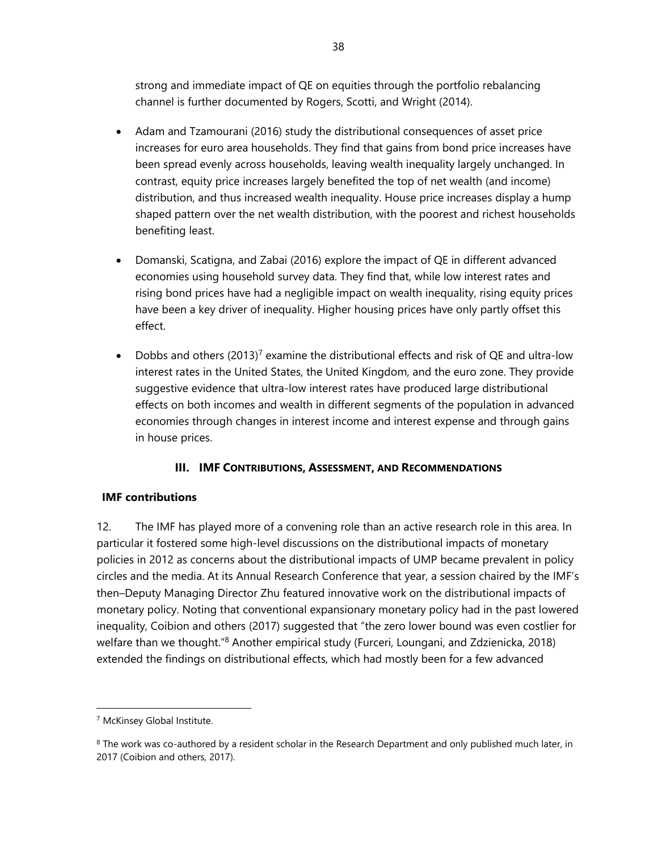strong and immediate impact of QE on equities through the portfolio rebalancing channel is further documented by Rogers, Scotti, and Wright (2014).

- Adam and Tzamourani (2016) study the distributional consequences of asset price increases for euro area households. They find that gains from bond price increases have been spread evenly across households, leaving wealth inequality largely unchanged. In contrast, equity price increases largely benefited the top of net wealth (and income) distribution, and thus increased wealth inequality. House price increases display a hump shaped pattern over the net wealth distribution, with the poorest and richest households benefiting least.
- Domanski, Scatigna, and Zabai (2016) explore the impact of QE in different advanced economies using household survey data. They find that, while low interest rates and rising bond prices have had a negligible impact on wealth inequality, rising equity prices have been a key driver of inequality. Higher housing prices have only partly offset this effect.
- Dobbs and others  $(2013)^7$  examine the distributional effects and risk of QE and ultra-low interest rates in the United States, the United Kingdom, and the euro zone. They provide suggestive evidence that ultra-low interest rates have produced large distributional effects on both incomes and wealth in different segments of the population in advanced economies through changes in interest income and interest expense and through gains in house prices.

## **III. IMF CONTRIBUTIONS, ASSESSMENT, AND RECOMMENDATIONS**

## **IMF contributions**

12. The IMF has played more of a convening role than an active research role in this area. In particular it fostered some high-level discussions on the distributional impacts of monetary policies in 2012 as concerns about the distributional impacts of UMP became prevalent in policy circles and the media. At its Annual Research Conference that year, a session chaired by the IMF's then–Deputy Managing Director Zhu featured innovative work on the distributional impacts of monetary policy. Noting that conventional expansionary monetary policy had in the past lowered inequality, Coibion and others (2017) suggested that "the zero lower bound was even costlier for welfare than we thought."<sup>8</sup> Another empirical study (Furceri, Loungani, and Zdzienicka, 2018) extended the findings on distributional effects, which had mostly been for a few advanced

<sup>7</sup> McKinsey Global Institute.

 $8$  The work was co-authored by a resident scholar in the Research Department and only published much later, in 2017 (Coibion and others, 2017).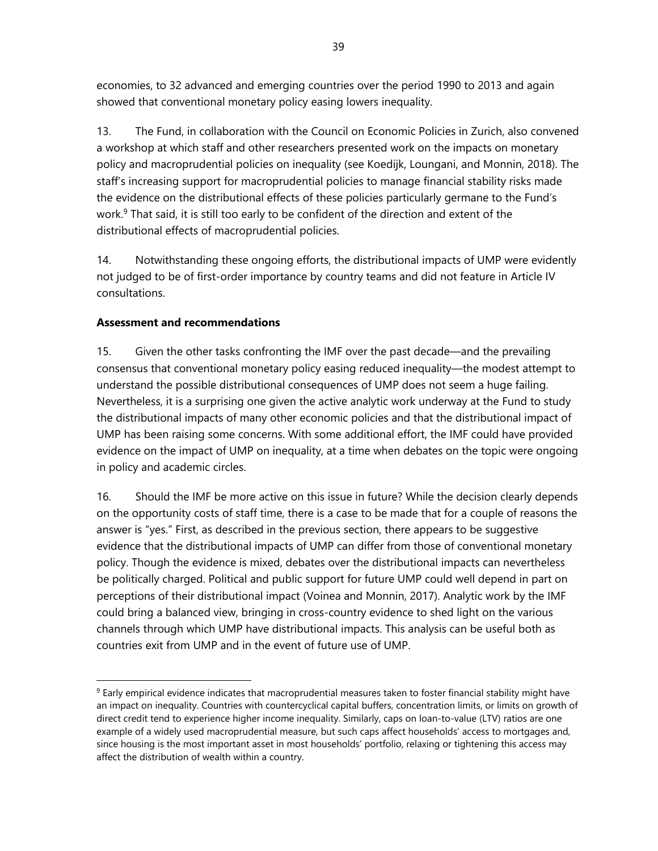economies, to 32 advanced and emerging countries over the period 1990 to 2013 and again showed that conventional monetary policy easing lowers inequality.

13. The Fund, in collaboration with the Council on Economic Policies in Zurich, also convened a workshop at which staff and other researchers presented work on the impacts on monetary policy and macroprudential policies on inequality (see Koedijk, Loungani, and Monnin, 2018). The staff's increasing support for macroprudential policies to manage financial stability risks made the evidence on the distributional effects of these policies particularly germane to the Fund's work.<sup>9</sup> That said, it is still too early to be confident of the direction and extent of the distributional effects of macroprudential policies.

14. Notwithstanding these ongoing efforts, the distributional impacts of UMP were evidently not judged to be of first-order importance by country teams and did not feature in Article IV consultations.

### **Assessment and recommendations**

1

15. Given the other tasks confronting the IMF over the past decade—and the prevailing consensus that conventional monetary policy easing reduced inequality—the modest attempt to understand the possible distributional consequences of UMP does not seem a huge failing. Nevertheless, it is a surprising one given the active analytic work underway at the Fund to study the distributional impacts of many other economic policies and that the distributional impact of UMP has been raising some concerns. With some additional effort, the IMF could have provided evidence on the impact of UMP on inequality, at a time when debates on the topic were ongoing in policy and academic circles.

16. Should the IMF be more active on this issue in future? While the decision clearly depends on the opportunity costs of staff time, there is a case to be made that for a couple of reasons the answer is "yes." First, as described in the previous section, there appears to be suggestive evidence that the distributional impacts of UMP can differ from those of conventional monetary policy. Though the evidence is mixed, debates over the distributional impacts can nevertheless be politically charged. Political and public support for future UMP could well depend in part on perceptions of their distributional impact (Voinea and Monnin, 2017). Analytic work by the IMF could bring a balanced view, bringing in cross-country evidence to shed light on the various channels through which UMP have distributional impacts. This analysis can be useful both as countries exit from UMP and in the event of future use of UMP.

 $9$  Early empirical evidence indicates that macroprudential measures taken to foster financial stability might have an impact on inequality. Countries with countercyclical capital buffers, concentration limits, or limits on growth of direct credit tend to experience higher income inequality. Similarly, caps on loan-to-value (LTV) ratios are one example of a widely used macroprudential measure, but such caps affect households' access to mortgages and, since housing is the most important asset in most households' portfolio, relaxing or tightening this access may affect the distribution of wealth within a country.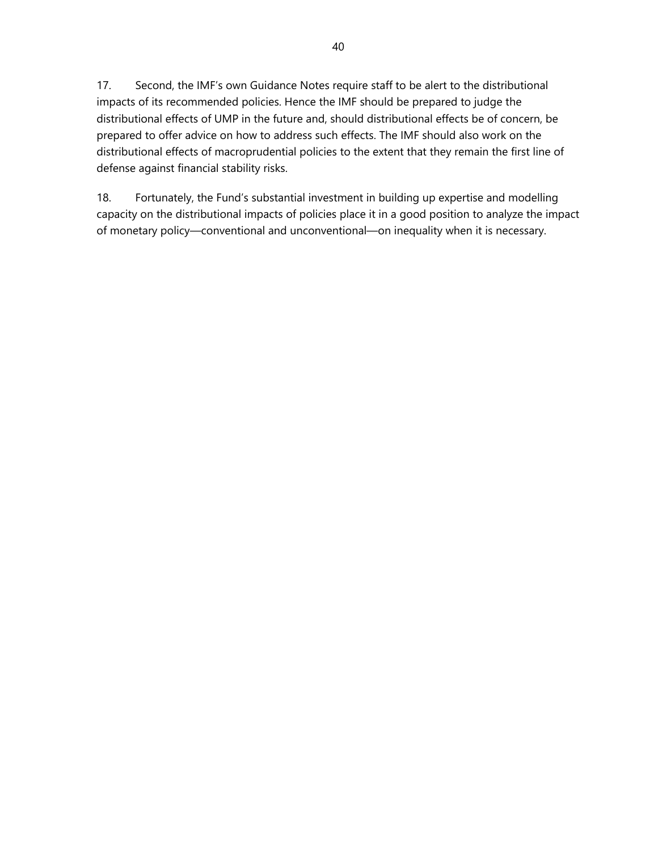17. Second, the IMF's own Guidance Notes require staff to be alert to the distributional impacts of its recommended policies. Hence the IMF should be prepared to judge the distributional effects of UMP in the future and, should distributional effects be of concern, be prepared to offer advice on how to address such effects. The IMF should also work on the distributional effects of macroprudential policies to the extent that they remain the first line of defense against financial stability risks.

18. Fortunately, the Fund's substantial investment in building up expertise and modelling capacity on the distributional impacts of policies place it in a good position to analyze the impact of monetary policy—conventional and unconventional—on inequality when it is necessary.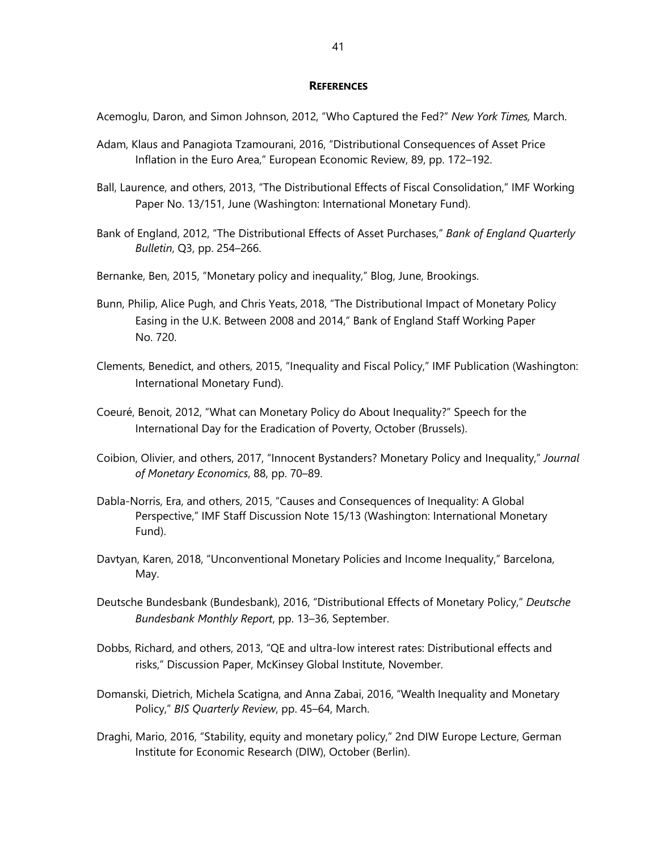### **REFERENCES**

Acemoglu, Daron, and Simon Johnson, 2012, "Who Captured the Fed?" *New York Times,* March.

- Adam, Klaus and Panagiota Tzamourani, 2016, "Distributional Consequences of Asset Price Inflation in the Euro Area," European Economic Review, 89, pp. 172–192.
- Ball, Laurence, and others, 2013, "The Distributional Effects of Fiscal Consolidation," IMF Working Paper No. 13/151, June (Washington: International Monetary Fund).
- Bank of England, 2012, "The Distributional Effects of Asset Purchases," *Bank of England Quarterly Bulletin*, Q3, pp. 254–266.
- Bernanke, Ben, 2015, "Monetary policy and inequality," Blog, June, Brookings.
- Bunn, Philip, Alice Pugh, and Chris Yeats, 2018, "The Distributional Impact of Monetary Policy Easing in the U.K. Between 2008 and 2014," Bank of England Staff Working Paper No. 720.
- Clements, Benedict, and others, 2015, "Inequality and Fiscal Policy," IMF Publication (Washington: International Monetary Fund).
- Coeuré, Benoit, 2012, "What can Monetary Policy do About Inequality?" Speech for the International Day for the Eradication of Poverty, October (Brussels).
- Coibion, Olivier, and others, 2017, "Innocent Bystanders? Monetary Policy and Inequality," *Journal of Monetary Economics*, 88, pp. 70–89.
- Dabla-Norris, Era, and others, 2015, "Causes and Consequences of Inequality: A Global Perspective," IMF Staff Discussion Note 15/13 (Washington: International Monetary Fund).
- Davtyan, Karen, 2018, "Unconventional Monetary Policies and Income Inequality," Barcelona, May.
- Deutsche Bundesbank (Bundesbank), 2016, "Distributional Effects of Monetary Policy," *Deutsche Bundesbank Monthly Report*, pp. 13–36, September.
- Dobbs, Richard, and others, 2013, "QE and ultra-low interest rates: Distributional effects and risks," Discussion Paper, McKinsey Global Institute, November.
- Domanski, Dietrich, Michela Scatigna, and Anna Zabai, 2016, "Wealth Inequality and Monetary Policy," *BIS Quarterly Review*, pp. 45–64, March.
- Draghi, Mario, 2016, "Stability, equity and monetary policy," 2nd DIW Europe Lecture, German Institute for Economic Research (DIW), October (Berlin).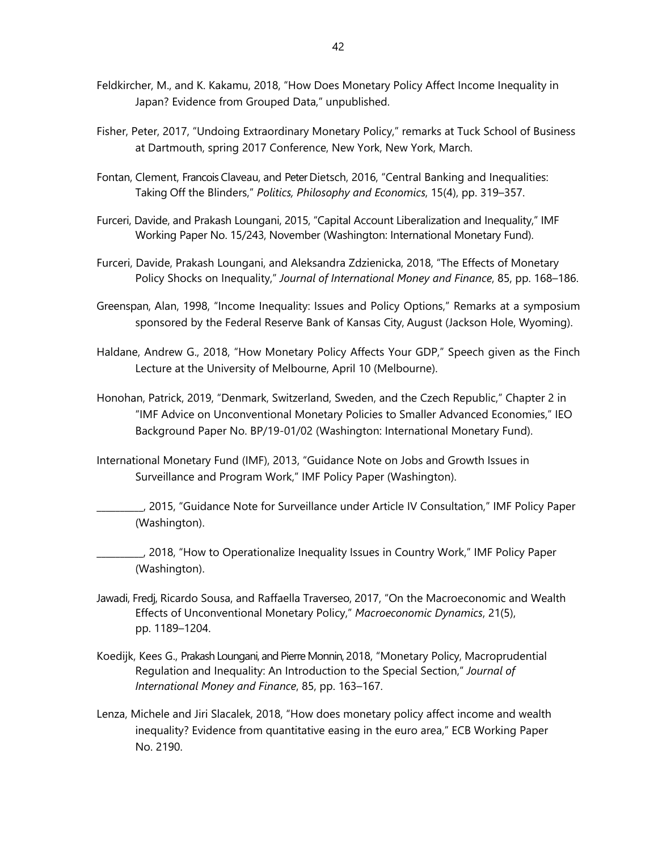- Feldkircher, M., and K. Kakamu, 2018, "How Does Monetary Policy Affect Income Inequality in Japan? Evidence from Grouped Data," unpublished.
- Fisher, Peter, 2017, "Undoing Extraordinary Monetary Policy," remarks at Tuck School of Business at Dartmouth, spring 2017 Conference, New York, New York, March.
- Fontan, Clement, Francois Claveau, and Peter Dietsch, 2016, "Central Banking and Inequalities: Taking Off the Blinders," *Politics, Philosophy and Economics*, 15(4), pp. 319–357.
- Furceri, Davide, and Prakash Loungani, 2015, "Capital Account Liberalization and Inequality," IMF Working Paper No. 15/243, November (Washington: International Monetary Fund).
- Furceri, Davide, Prakash Loungani, and Aleksandra Zdzienicka, 2018, "The Effects of Monetary Policy Shocks on Inequality," *Journal of International Money and Finance*, 85, pp. 168–186.
- Greenspan, Alan, 1998, "Income Inequality: Issues and Policy Options," Remarks at a symposium sponsored by the Federal Reserve Bank of Kansas City, August (Jackson Hole, Wyoming).
- Haldane, Andrew G., 2018, "How Monetary Policy Affects Your GDP," Speech given as the Finch Lecture at the University of Melbourne, April 10 (Melbourne).
- Honohan, Patrick, 2019, "Denmark, Switzerland, Sweden, and the Czech Republic," Chapter 2 in "IMF Advice on Unconventional Monetary Policies to Smaller Advanced Economies," IEO Background Paper No. BP/19-01/02 (Washington: International Monetary Fund).
- International Monetary Fund (IMF), 2013, "Guidance Note on Jobs and Growth Issues in Surveillance and Program Work," IMF Policy Paper (Washington).
	- \_\_\_\_\_\_\_\_\_\_, 2015, "Guidance Note for Surveillance under Article IV Consultation," IMF Policy Paper (Washington).
- \_\_\_\_\_\_\_\_\_\_, 2018, "How to Operationalize Inequality Issues in Country Work," IMF Policy Paper (Washington).
- Jawadi, Fredj, Ricardo Sousa, and Raffaella Traverseo, 2017, "On the Macroeconomic and Wealth Effects of Unconventional Monetary Policy," *Macroeconomic Dynamics*, 21(5), pp. 1189–1204.
- Koedijk, Kees G., Prakash Loungani, and Pierre Monnin, 2018, "Monetary Policy, Macroprudential Regulation and Inequality: An Introduction to the Special Section," *Journal of International Money and Finance*, 85, pp. 163–167.
- Lenza, Michele and Jiri Slacalek, 2018, "How does monetary policy affect income and wealth inequality? Evidence from quantitative easing in the euro area," ECB Working Paper No. 2190.